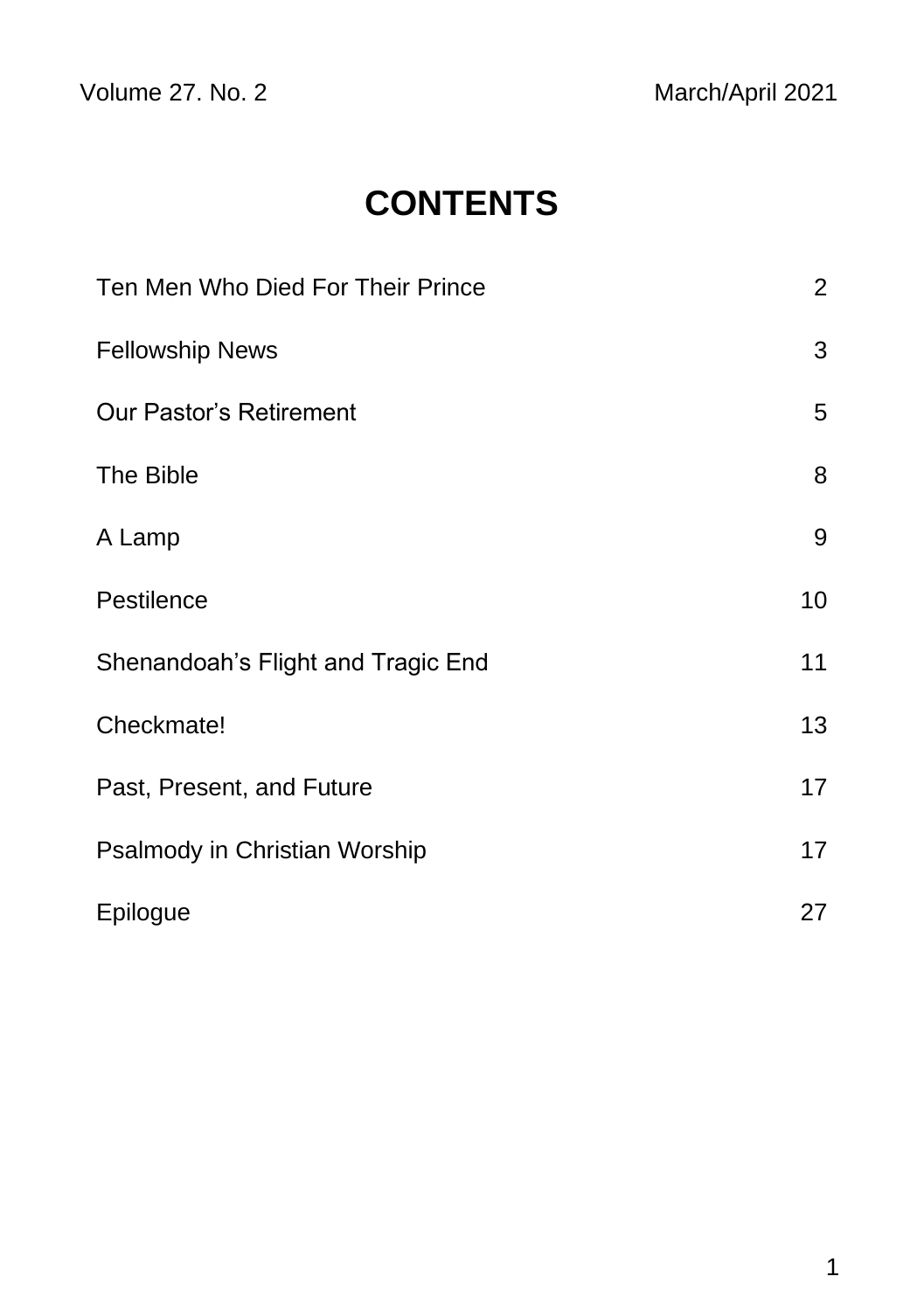Volume 27. No. 2 March/April 2021

# **CONTENTS**

| Ten Men Who Died For Their Prince  | $\overline{2}$ |
|------------------------------------|----------------|
| <b>Fellowship News</b>             | 3              |
| <b>Our Pastor's Retirement</b>     | 5              |
| The Bible                          | 8              |
| A Lamp                             | 9              |
| Pestilence                         | 10             |
| Shenandoah's Flight and Tragic End | 11             |
| Checkmate!                         | 13             |
| Past, Present, and Future          | 17             |
| Psalmody in Christian Worship      | 17             |
| Epilogue                           | 27             |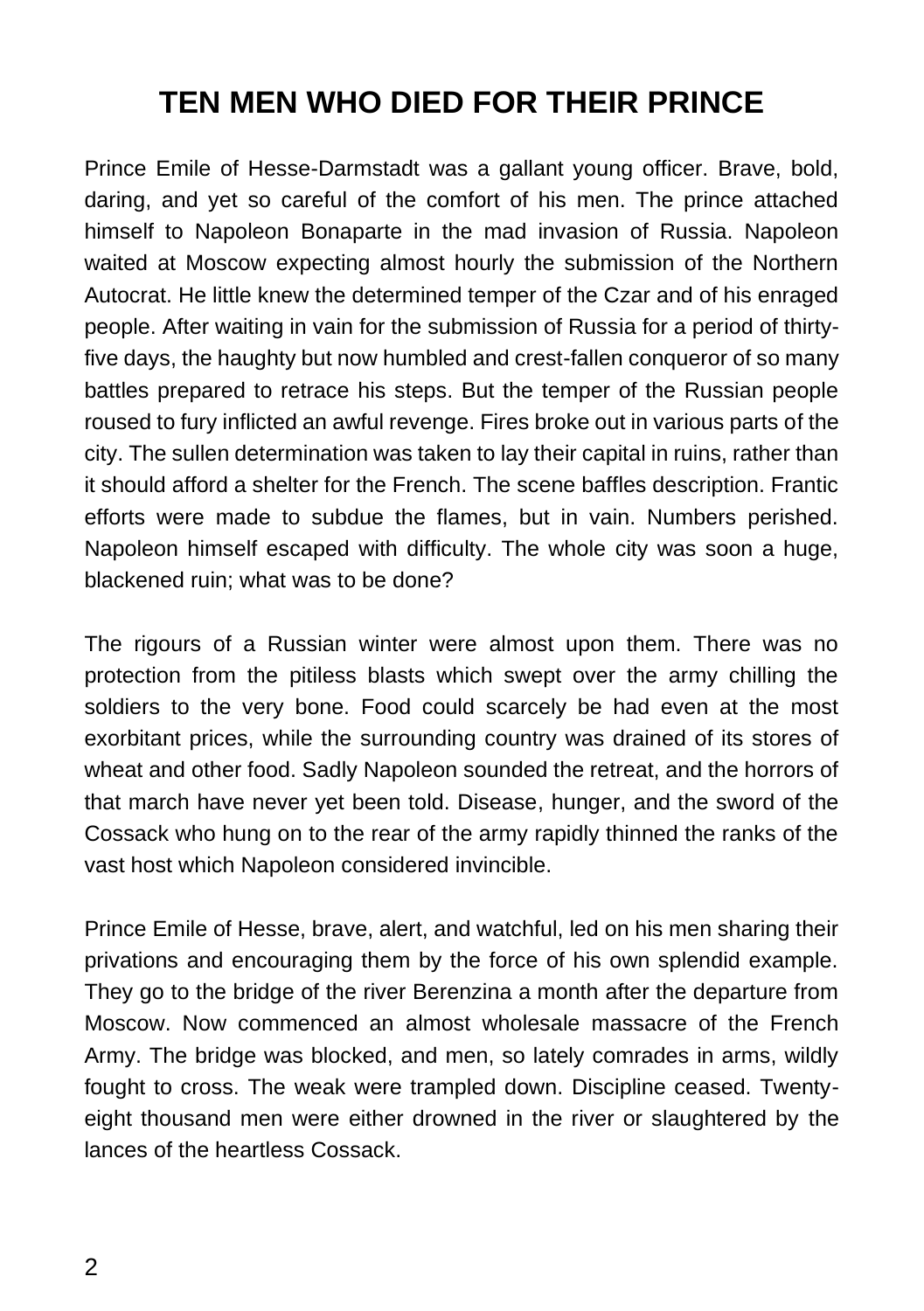# **TEN MEN WHO DIED FOR THEIR PRINCE**

Prince Emile of Hesse-Darmstadt was a gallant young officer. Brave, bold, daring, and yet so careful of the comfort of his men. The prince attached himself to Napoleon Bonaparte in the mad invasion of Russia. Napoleon waited at Moscow expecting almost hourly the submission of the Northern Autocrat. He little knew the determined temper of the Czar and of his enraged people. After waiting in vain for the submission of Russia for a period of thirtyfive days, the haughty but now humbled and crest-fallen conqueror of so many battles prepared to retrace his steps. But the temper of the Russian people roused to fury inflicted an awful revenge. Fires broke out in various parts of the city. The sullen determination was taken to lay their capital in ruins, rather than it should afford a shelter for the French. The scene baffles description. Frantic efforts were made to subdue the flames, but in vain. Numbers perished. Napoleon himself escaped with difficulty. The whole city was soon a huge, blackened ruin; what was to be done?

The rigours of a Russian winter were almost upon them. There was no protection from the pitiless blasts which swept over the army chilling the soldiers to the very bone. Food could scarcely be had even at the most exorbitant prices, while the surrounding country was drained of its stores of wheat and other food. Sadly Napoleon sounded the retreat, and the horrors of that march have never yet been told. Disease, hunger, and the sword of the Cossack who hung on to the rear of the army rapidly thinned the ranks of the vast host which Napoleon considered invincible.

Prince Emile of Hesse, brave, alert, and watchful, led on his men sharing their privations and encouraging them by the force of his own splendid example. They go to the bridge of the river Berenzina a month after the departure from Moscow. Now commenced an almost wholesale massacre of the French Army. The bridge was blocked, and men, so lately comrades in arms, wildly fought to cross. The weak were trampled down. Discipline ceased. Twentyeight thousand men were either drowned in the river or slaughtered by the lances of the heartless Cossack.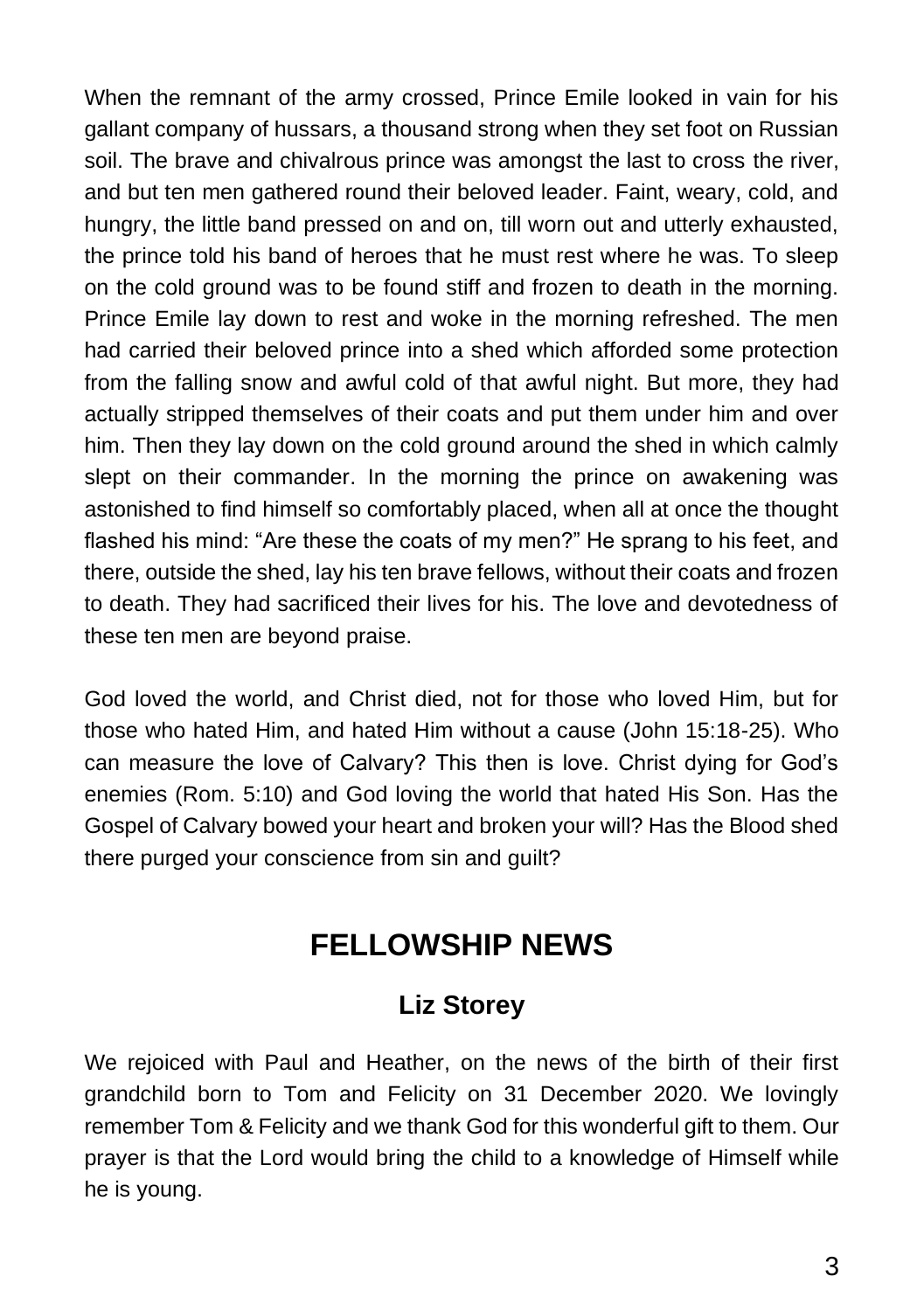When the remnant of the army crossed, Prince Emile looked in vain for his gallant company of hussars, a thousand strong when they set foot on Russian soil. The brave and chivalrous prince was amongst the last to cross the river, and but ten men gathered round their beloved leader. Faint, weary, cold, and hungry, the little band pressed on and on, till worn out and utterly exhausted, the prince told his band of heroes that he must rest where he was. To sleep on the cold ground was to be found stiff and frozen to death in the morning. Prince Emile lay down to rest and woke in the morning refreshed. The men had carried their beloved prince into a shed which afforded some protection from the falling snow and awful cold of that awful night. But more, they had actually stripped themselves of their coats and put them under him and over him. Then they lay down on the cold ground around the shed in which calmly slept on their commander. In the morning the prince on awakening was astonished to find himself so comfortably placed, when all at once the thought flashed his mind: "Are these the coats of my men?" He sprang to his feet, and there, outside the shed, lay his ten brave fellows, without their coats and frozen to death. They had sacrificed their lives for his. The love and devotedness of these ten men are beyond praise.

God loved the world, and Christ died, not for those who loved Him, but for those who hated Him, and hated Him without a cause (John 15:18-25). Who can measure the love of Calvary? This then is love. Christ dying for God's enemies (Rom. 5:10) and God loving the world that hated His Son. Has the Gospel of Calvary bowed your heart and broken your will? Has the Blood shed there purged your conscience from sin and guilt?

## **FELLOWSHIP NEWS**

#### **Liz Storey**

We rejoiced with Paul and Heather, on the news of the birth of their first grandchild born to Tom and Felicity on 31 December 2020. We lovingly remember Tom & Felicity and we thank God for this wonderful gift to them. Our prayer is that the Lord would bring the child to a knowledge of Himself while he is young.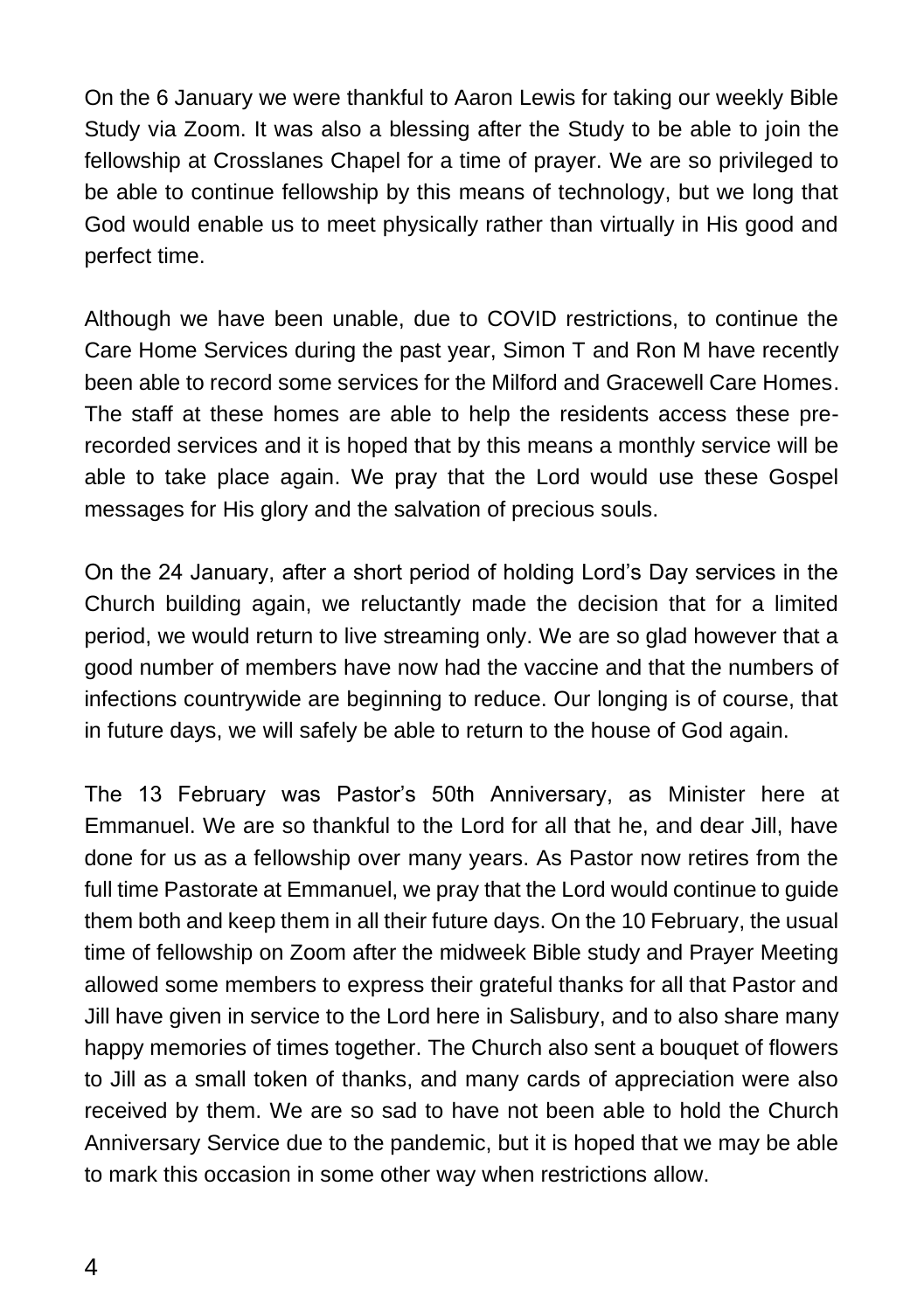On the 6 January we were thankful to Aaron Lewis for taking our weekly Bible Study via Zoom. It was also a blessing after the Study to be able to join the fellowship at Crosslanes Chapel for a time of prayer. We are so privileged to be able to continue fellowship by this means of technology, but we long that God would enable us to meet physically rather than virtually in His good and perfect time.

Although we have been unable, due to COVID restrictions, to continue the Care Home Services during the past year, Simon T and Ron M have recently been able to record some services for the Milford and Gracewell Care Homes. The staff at these homes are able to help the residents access these prerecorded services and it is hoped that by this means a monthly service will be able to take place again. We pray that the Lord would use these Gospel messages for His glory and the salvation of precious souls.

On the 24 January, after a short period of holding Lord's Day services in the Church building again, we reluctantly made the decision that for a limited period, we would return to live streaming only. We are so glad however that a good number of members have now had the vaccine and that the numbers of infections countrywide are beginning to reduce. Our longing is of course, that in future days, we will safely be able to return to the house of God again.

The 13 February was Pastor's 50th Anniversary, as Minister here at Emmanuel. We are so thankful to the Lord for all that he, and dear Jill, have done for us as a fellowship over many years. As Pastor now retires from the full time Pastorate at Emmanuel, we pray that the Lord would continue to guide them both and keep them in all their future days. On the 10 February, the usual time of fellowship on Zoom after the midweek Bible study and Prayer Meeting allowed some members to express their grateful thanks for all that Pastor and Jill have given in service to the Lord here in Salisbury, and to also share many happy memories of times together. The Church also sent a bouquet of flowers to Jill as a small token of thanks, and many cards of appreciation were also received by them. We are so sad to have not been able to hold the Church Anniversary Service due to the pandemic, but it is hoped that we may be able to mark this occasion in some other way when restrictions allow.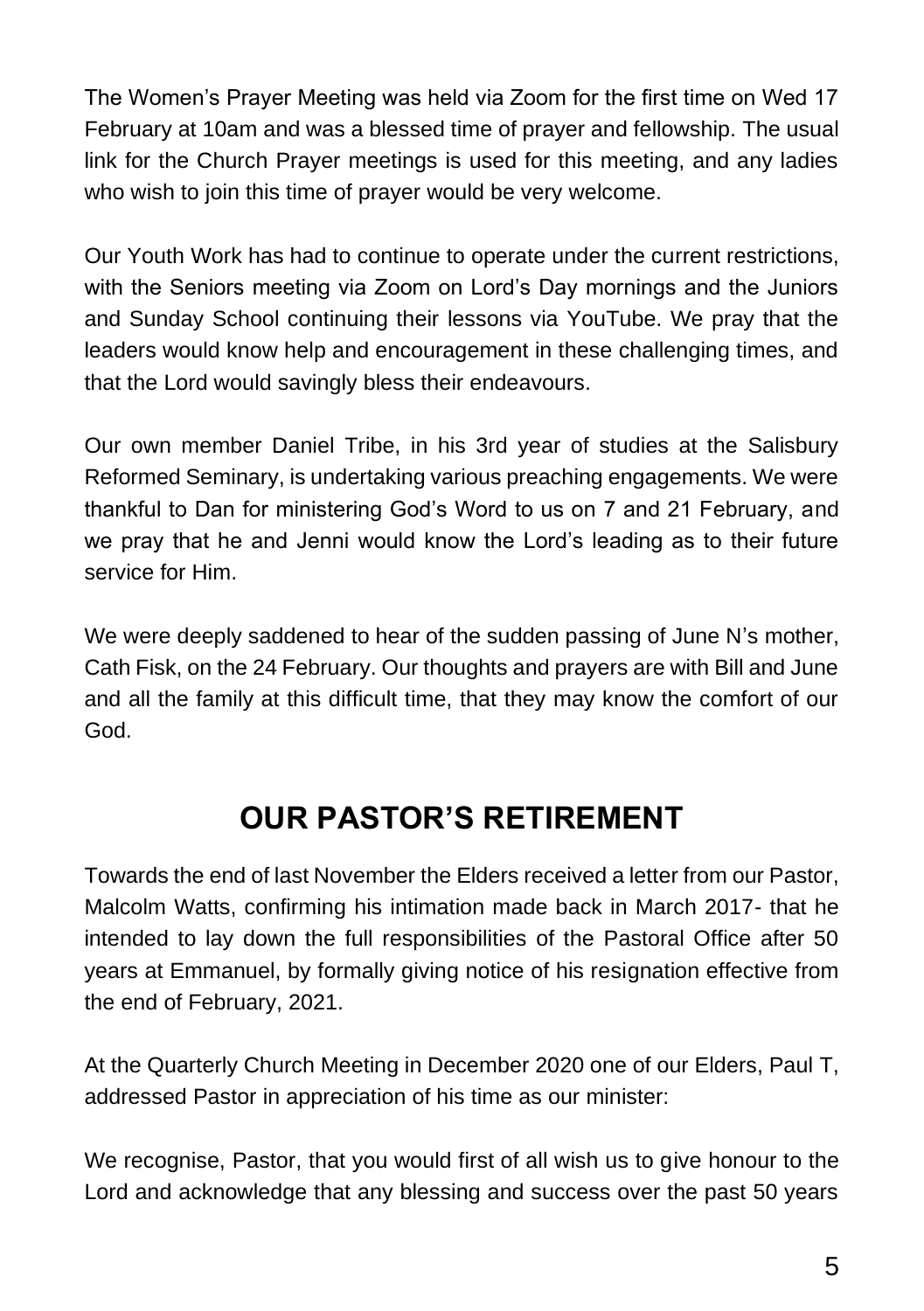The Women's Prayer Meeting was held via Zoom for the first time on Wed 17 February at 10am and was a blessed time of prayer and fellowship. The usual link for the Church Prayer meetings is used for this meeting, and any ladies who wish to join this time of prayer would be very welcome.

Our Youth Work has had to continue to operate under the current restrictions, with the Seniors meeting via Zoom on Lord's Day mornings and the Juniors and Sunday School continuing their lessons via YouTube. We pray that the leaders would know help and encouragement in these challenging times, and that the Lord would savingly bless their endeavours.

Our own member Daniel Tribe, in his 3rd year of studies at the Salisbury Reformed Seminary, is undertaking various preaching engagements. We were thankful to Dan for ministering God's Word to us on 7 and 21 February, and we pray that he and Jenni would know the Lord's leading as to their future service for Him.

We were deeply saddened to hear of the sudden passing of June N's mother, Cath Fisk, on the 24 February. Our thoughts and prayers are with Bill and June and all the family at this difficult time, that they may know the comfort of our God.

# **OUR PASTOR'S RETIREMENT**

Towards the end of last November the Elders received a letter from our Pastor, Malcolm Watts, confirming his intimation made back in March 2017- that he intended to lay down the full responsibilities of the Pastoral Office after 50 years at Emmanuel, by formally giving notice of his resignation effective from the end of February, 2021.

At the Quarterly Church Meeting in December 2020 one of our Elders, Paul T, addressed Pastor in appreciation of his time as our minister:

We recognise, Pastor, that you would first of all wish us to give honour to the Lord and acknowledge that any blessing and success over the past 50 years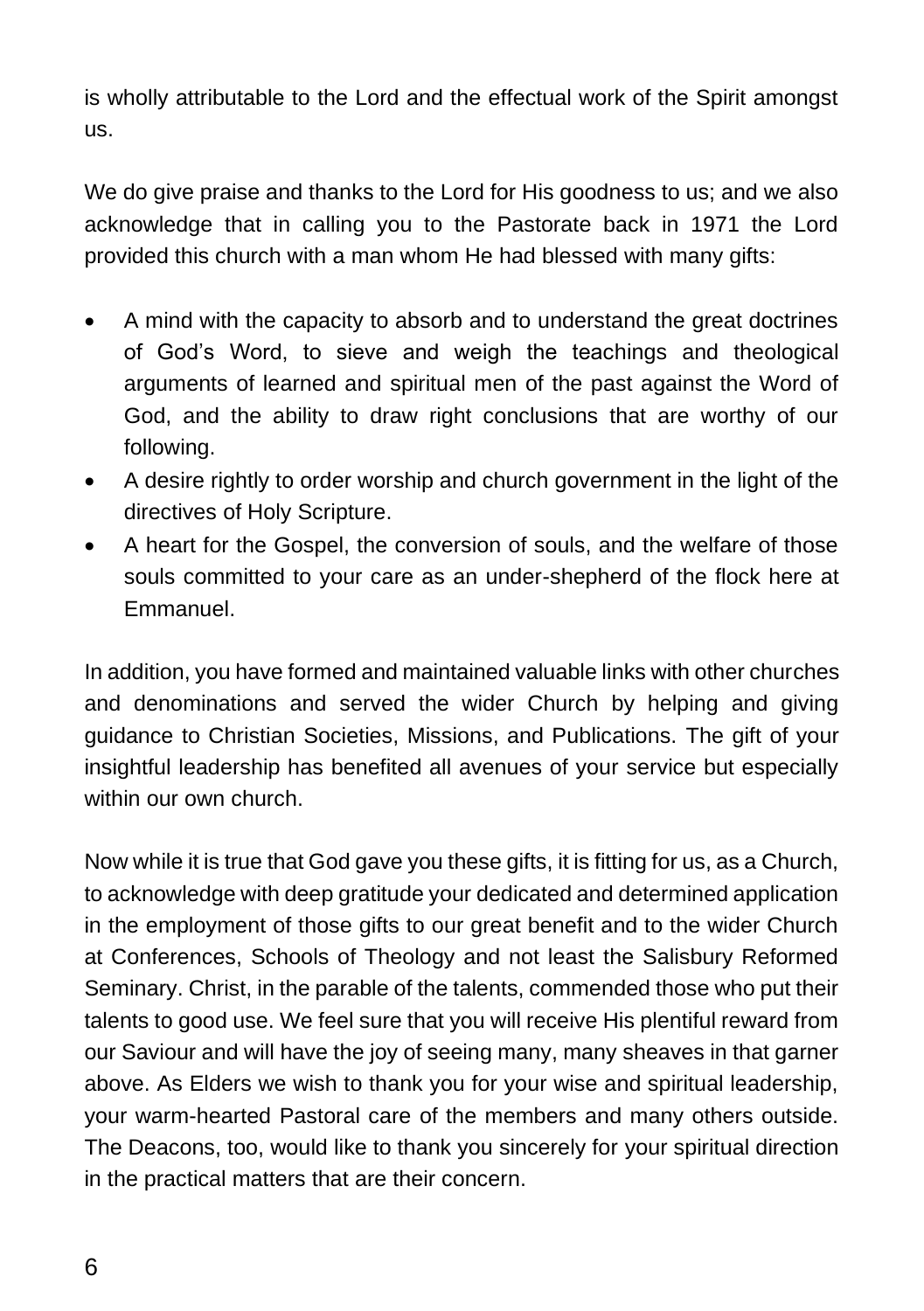is wholly attributable to the Lord and the effectual work of the Spirit amongst us.

We do give praise and thanks to the Lord for His goodness to us; and we also acknowledge that in calling you to the Pastorate back in 1971 the Lord provided this church with a man whom He had blessed with many gifts:

- A mind with the capacity to absorb and to understand the great doctrines of God's Word, to sieve and weigh the teachings and theological arguments of learned and spiritual men of the past against the Word of God, and the ability to draw right conclusions that are worthy of our following.
- A desire rightly to order worship and church government in the light of the directives of Holy Scripture.
- A heart for the Gospel, the conversion of souls, and the welfare of those souls committed to your care as an under-shepherd of the flock here at Emmanuel.

In addition, you have formed and maintained valuable links with other churches and denominations and served the wider Church by helping and giving guidance to Christian Societies, Missions, and Publications. The gift of your insightful leadership has benefited all avenues of your service but especially within our own church.

Now while it is true that God gave you these gifts, it is fitting for us, as a Church, to acknowledge with deep gratitude your dedicated and determined application in the employment of those gifts to our great benefit and to the wider Church at Conferences, Schools of Theology and not least the Salisbury Reformed Seminary. Christ, in the parable of the talents, commended those who put their talents to good use. We feel sure that you will receive His plentiful reward from our Saviour and will have the joy of seeing many, many sheaves in that garner above. As Elders we wish to thank you for your wise and spiritual leadership, your warm-hearted Pastoral care of the members and many others outside. The Deacons, too, would like to thank you sincerely for your spiritual direction in the practical matters that are their concern.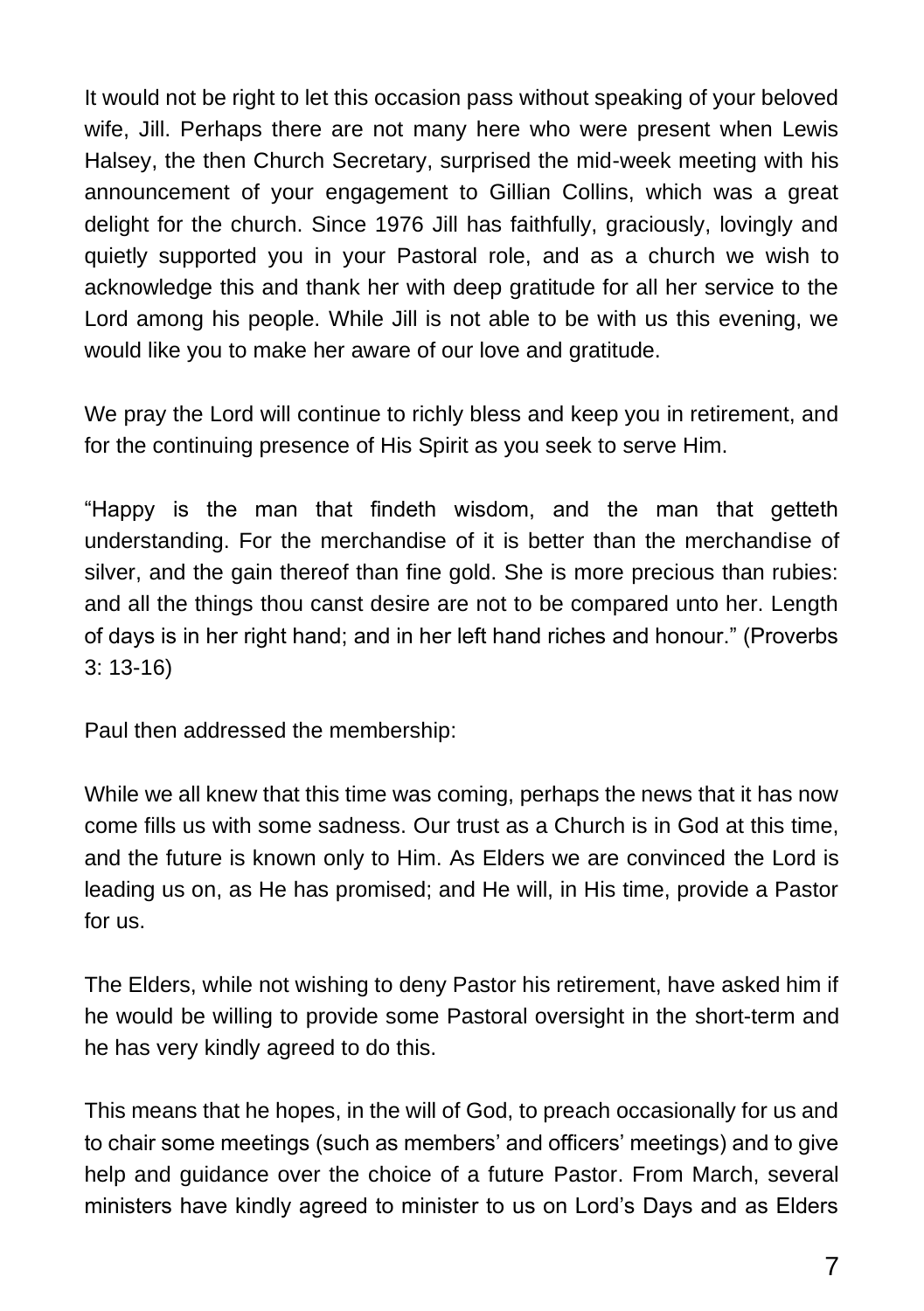It would not be right to let this occasion pass without speaking of your beloved wife, Jill. Perhaps there are not many here who were present when Lewis Halsey, the then Church Secretary, surprised the mid-week meeting with his announcement of your engagement to Gillian Collins, which was a great delight for the church. Since 1976 Jill has faithfully, graciously, lovingly and quietly supported you in your Pastoral role, and as a church we wish to acknowledge this and thank her with deep gratitude for all her service to the Lord among his people. While Jill is not able to be with us this evening, we would like you to make her aware of our love and gratitude.

We pray the Lord will continue to richly bless and keep you in retirement, and for the continuing presence of His Spirit as you seek to serve Him.

"Happy is the man that findeth wisdom, and the man that getteth understanding. For the merchandise of it is better than the merchandise of silver, and the gain thereof than fine gold. She is more precious than rubies: and all the things thou canst desire are not to be compared unto her. Length of days is in her right hand; and in her left hand riches and honour." (Proverbs 3: 13-16)

Paul then addressed the membership:

While we all knew that this time was coming, perhaps the news that it has now come fills us with some sadness. Our trust as a Church is in God at this time, and the future is known only to Him. As Elders we are convinced the Lord is leading us on, as He has promised; and He will, in His time, provide a Pastor for us.

The Elders, while not wishing to deny Pastor his retirement, have asked him if he would be willing to provide some Pastoral oversight in the short-term and he has very kindly agreed to do this.

This means that he hopes, in the will of God, to preach occasionally for us and to chair some meetings (such as members' and officers' meetings) and to give help and guidance over the choice of a future Pastor. From March, several ministers have kindly agreed to minister to us on Lord's Days and as Elders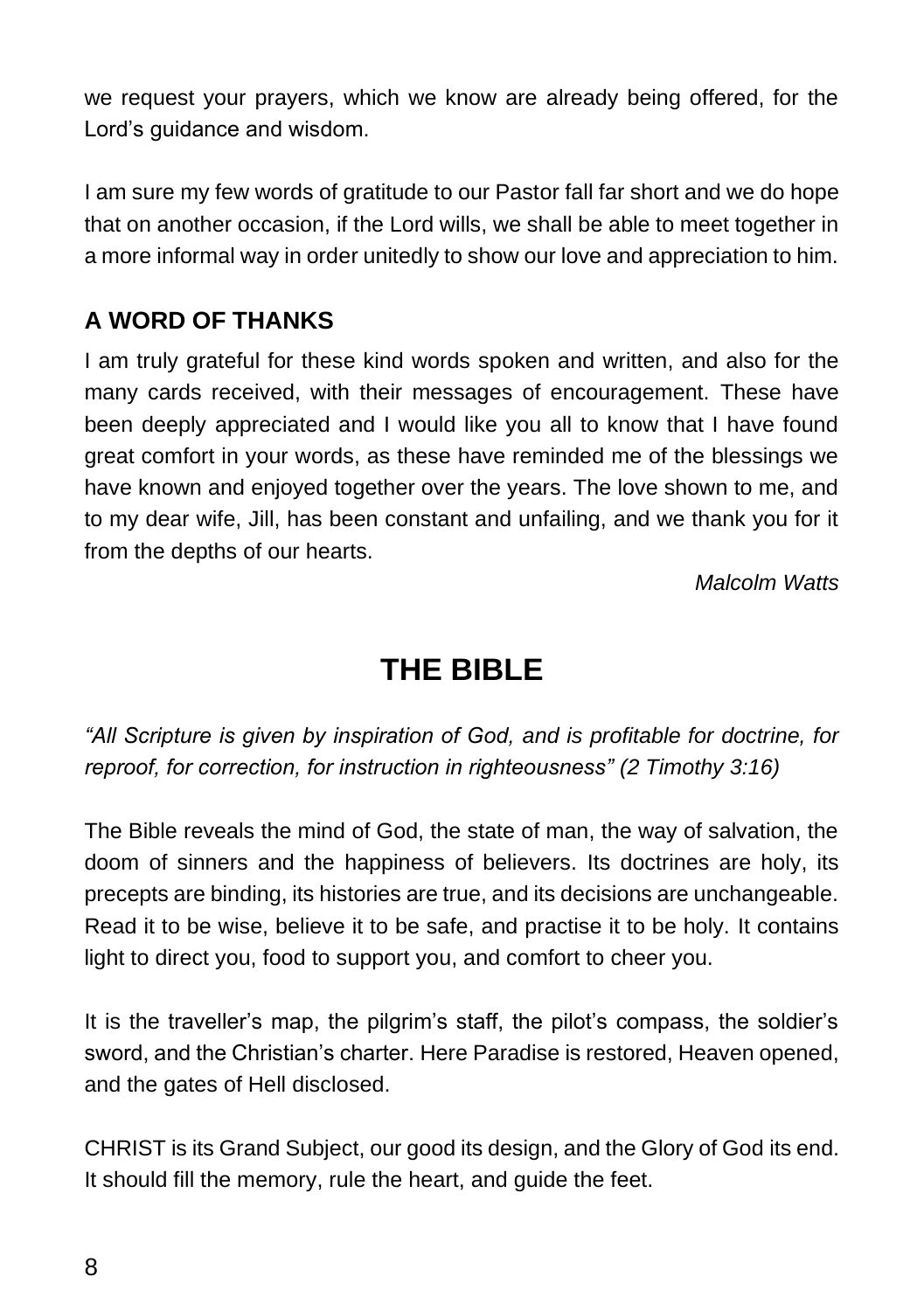we request your prayers, which we know are already being offered, for the Lord's guidance and wisdom.

I am sure my few words of gratitude to our Pastor fall far short and we do hope that on another occasion, if the Lord wills, we shall be able to meet together in a more informal way in order unitedly to show our love and appreciation to him.

### **A WORD OF THANKS**

I am truly grateful for these kind words spoken and written, and also for the many cards received, with their messages of encouragement. These have been deeply appreciated and I would like you all to know that I have found great comfort in your words, as these have reminded me of the blessings we have known and enjoyed together over the years. The love shown to me, and to my dear wife, Jill, has been constant and unfailing, and we thank you for it from the depths of our hearts.

*Malcolm Watts*

### **THE BIBLE**

*"All Scripture is given by inspiration of God, and is profitable for doctrine, for reproof, for correction, for instruction in righteousness" (2 Timothy 3:16)*

The Bible reveals the mind of God, the state of man, the way of salvation, the doom of sinners and the happiness of believers. Its doctrines are holy, its precepts are binding, its histories are true, and its decisions are unchangeable. Read it to be wise, believe it to be safe, and practise it to be holy. It contains light to direct you, food to support you, and comfort to cheer you.

It is the traveller's map, the pilgrim's staff, the pilot's compass, the soldier's sword, and the Christian's charter. Here Paradise is restored, Heaven opened, and the gates of Hell disclosed.

CHRIST is its Grand Subject, our good its design, and the Glory of God its end. It should fill the memory, rule the heart, and guide the feet.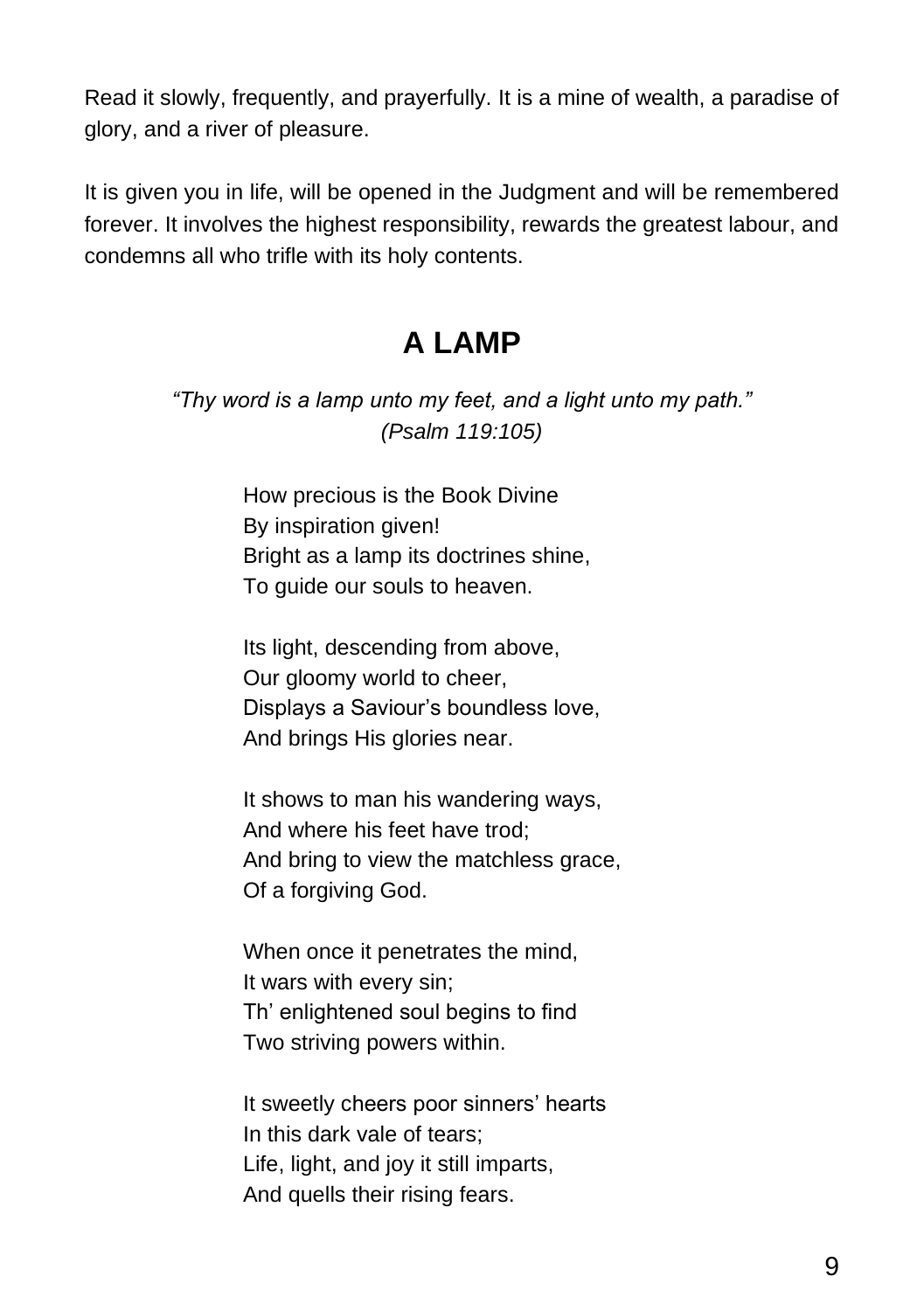Read it slowly, frequently, and prayerfully. It is a mine of wealth, a paradise of glory, and a river of pleasure.

It is given you in life, will be opened in the Judgment and will be remembered forever. It involves the highest responsibility, rewards the greatest labour, and condemns all who trifle with its holy contents.

## **A LAMP**

*"Thy word is a lamp unto my feet, and a light unto my path." (Psalm 119:105)*

> How precious is the Book Divine By inspiration given! Bright as a lamp its doctrines shine, To guide our souls to heaven.

Its light, descending from above, Our gloomy world to cheer, Displays a Saviour's boundless love, And brings His glories near.

It shows to man his wandering ways, And where his feet have trod; And bring to view the matchless grace, Of a forgiving God.

When once it penetrates the mind, It wars with every sin; Th' enlightened soul begins to find Two striving powers within.

It sweetly cheers poor sinners' hearts In this dark vale of tears; Life, light, and joy it still imparts, And quells their rising fears.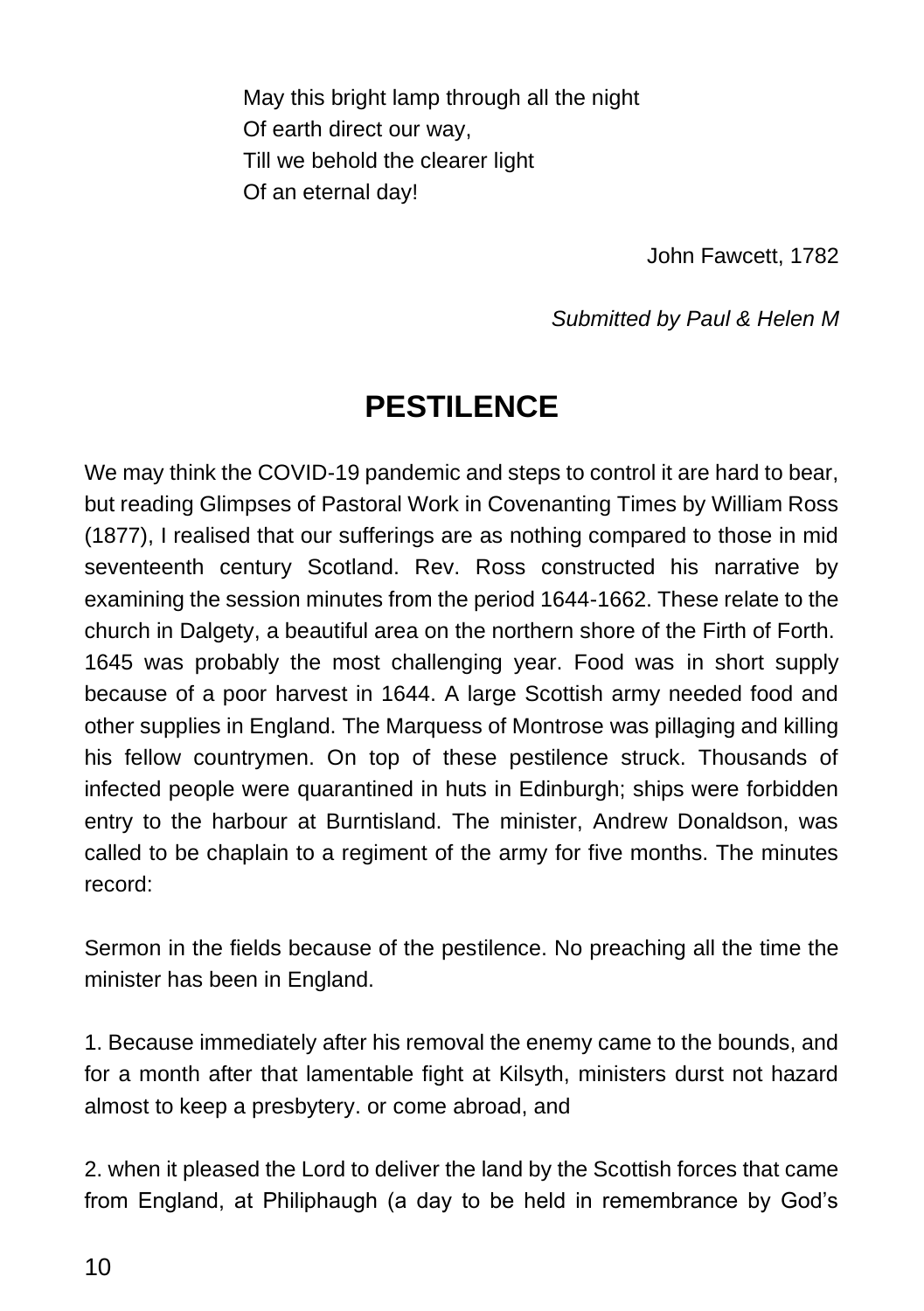May this bright lamp through all the night Of earth direct our way, Till we behold the clearer light Of an eternal day!

John Fawcett, 1782

*Submitted by Paul & Helen M*

### **PESTILENCE**

We may think the COVID-19 pandemic and steps to control it are hard to bear, but reading Glimpses of Pastoral Work in Covenanting Times by William Ross (1877), I realised that our sufferings are as nothing compared to those in mid seventeenth century Scotland. Rev. Ross constructed his narrative by examining the session minutes from the period 1644-1662. These relate to the church in Dalgety, a beautiful area on the northern shore of the Firth of Forth. 1645 was probably the most challenging year. Food was in short supply because of a poor harvest in 1644. A large Scottish army needed food and other supplies in England. The Marquess of Montrose was pillaging and killing his fellow countrymen. On top of these pestilence struck. Thousands of infected people were quarantined in huts in Edinburgh; ships were forbidden entry to the harbour at Burntisland. The minister, Andrew Donaldson, was called to be chaplain to a regiment of the army for five months. The minutes record:

Sermon in the fields because of the pestilence. No preaching all the time the minister has been in England.

1. Because immediately after his removal the enemy came to the bounds, and for a month after that lamentable fight at Kilsyth, ministers durst not hazard almost to keep a presbytery. or come abroad, and

2. when it pleased the Lord to deliver the land by the Scottish forces that came from England, at Philiphaugh (a day to be held in remembrance by God's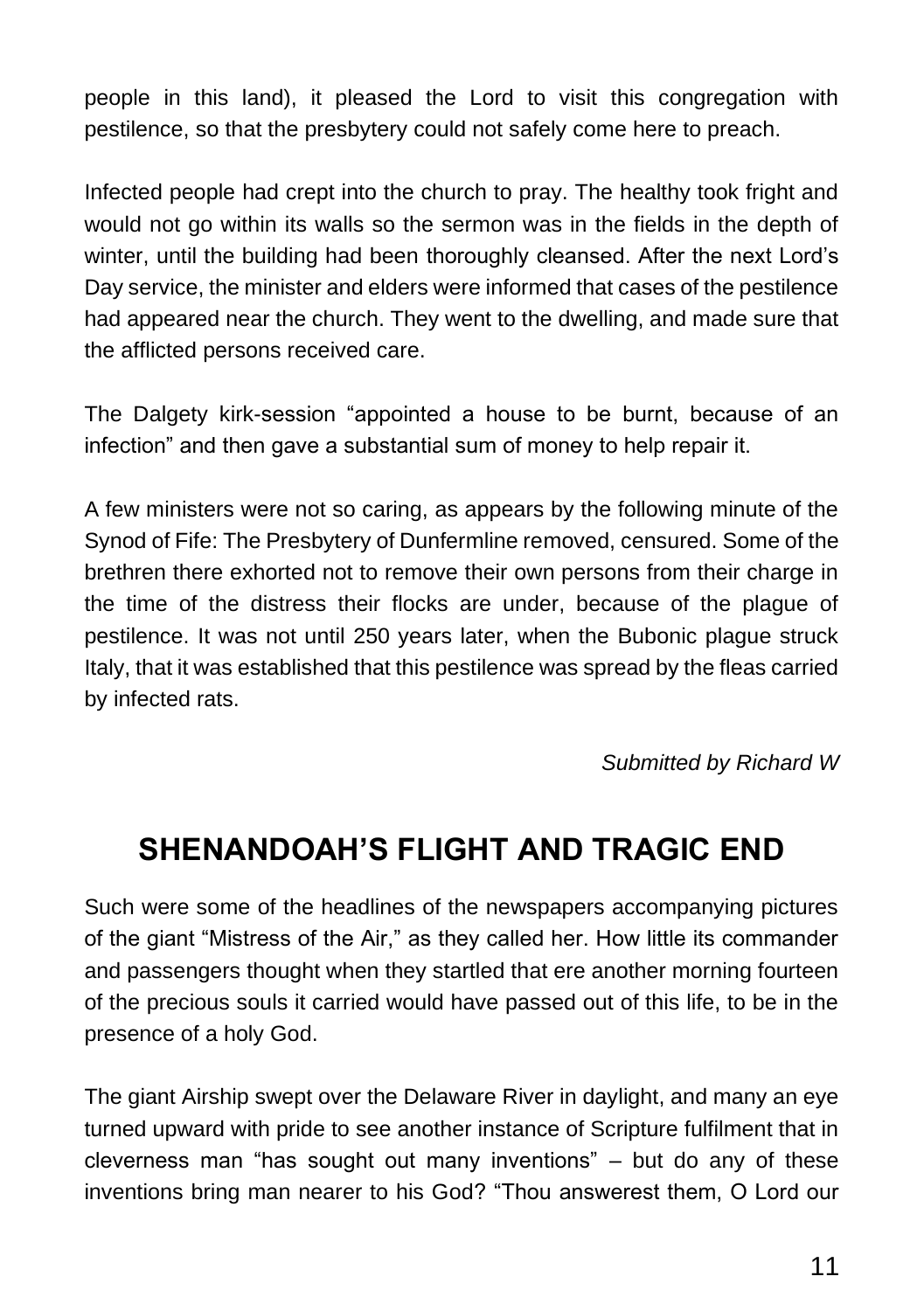people in this land), it pleased the Lord to visit this congregation with pestilence, so that the presbytery could not safely come here to preach.

Infected people had crept into the church to pray. The healthy took fright and would not go within its walls so the sermon was in the fields in the depth of winter, until the building had been thoroughly cleansed. After the next Lord's Day service, the minister and elders were informed that cases of the pestilence had appeared near the church. They went to the dwelling, and made sure that the afflicted persons received care.

The Dalgety kirk-session "appointed a house to be burnt, because of an infection" and then gave a substantial sum of money to help repair it.

A few ministers were not so caring, as appears by the following minute of the Synod of Fife: The Presbytery of Dunfermline removed, censured. Some of the brethren there exhorted not to remove their own persons from their charge in the time of the distress their flocks are under, because of the plague of pestilence. It was not until 250 years later, when the Bubonic plague struck Italy, that it was established that this pestilence was spread by the fleas carried by infected rats.

*Submitted by Richard W*

## **SHENANDOAH'S FLIGHT AND TRAGIC END**

Such were some of the headlines of the newspapers accompanying pictures of the giant "Mistress of the Air," as they called her. How little its commander and passengers thought when they startled that ere another morning fourteen of the precious souls it carried would have passed out of this life, to be in the presence of a holy God.

The giant Airship swept over the Delaware River in daylight, and many an eye turned upward with pride to see another instance of Scripture fulfilment that in cleverness man "has sought out many inventions" – but do any of these inventions bring man nearer to his God? "Thou answerest them, O Lord our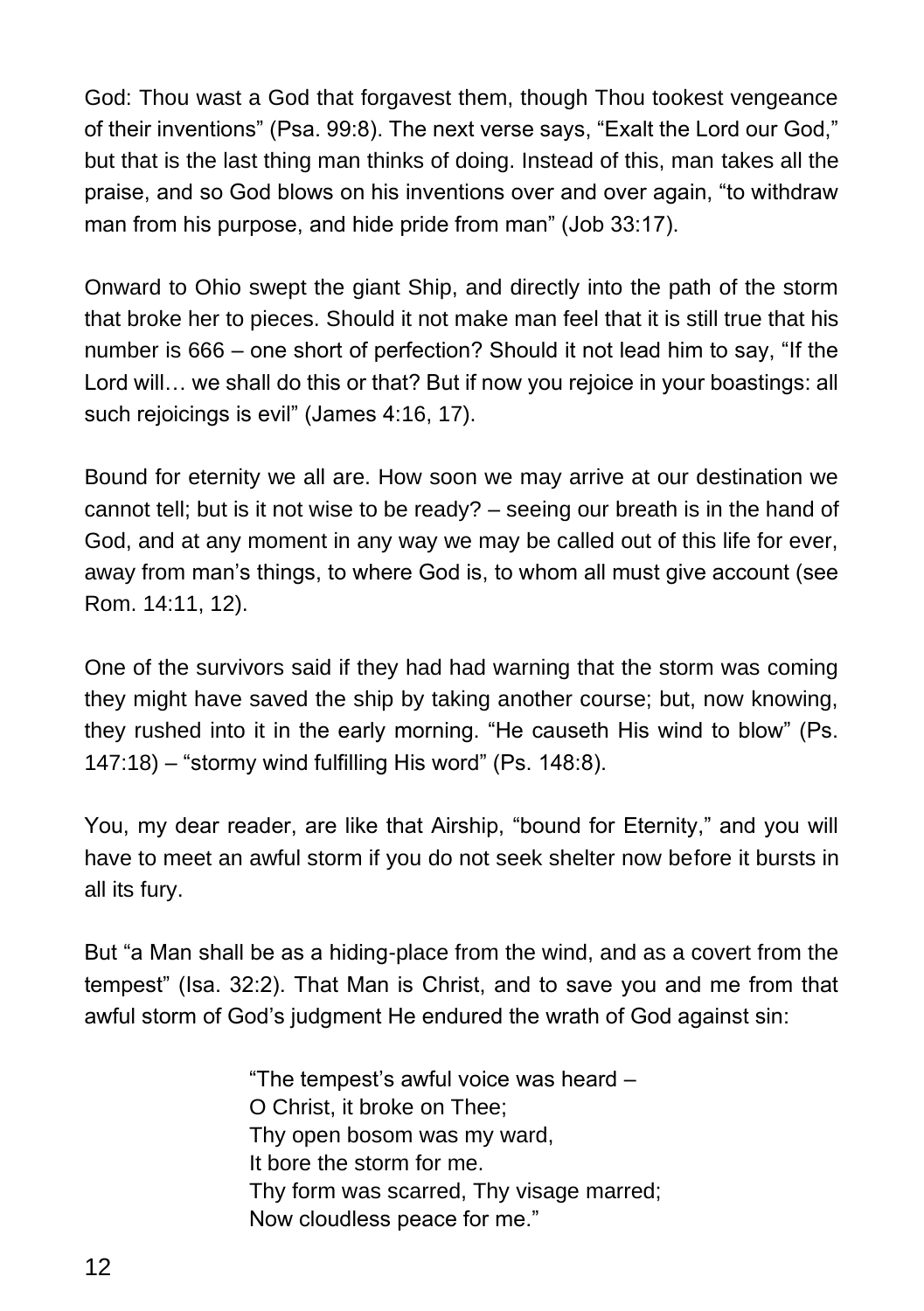God: Thou wast a God that forgavest them, though Thou tookest vengeance of their inventions" (Psa. 99:8). The next verse says, "Exalt the Lord our God," but that is the last thing man thinks of doing. Instead of this, man takes all the praise, and so God blows on his inventions over and over again, "to withdraw man from his purpose, and hide pride from man" (Job 33:17).

Onward to Ohio swept the giant Ship, and directly into the path of the storm that broke her to pieces. Should it not make man feel that it is still true that his number is 666 – one short of perfection? Should it not lead him to say, "If the Lord will… we shall do this or that? But if now you rejoice in your boastings: all such rejoicings is evil" (James 4:16, 17).

Bound for eternity we all are. How soon we may arrive at our destination we cannot tell; but is it not wise to be ready? – seeing our breath is in the hand of God, and at any moment in any way we may be called out of this life for ever, away from man's things, to where God is, to whom all must give account (see Rom. 14:11, 12).

One of the survivors said if they had had warning that the storm was coming they might have saved the ship by taking another course; but, now knowing, they rushed into it in the early morning. "He causeth His wind to blow" (Ps. 147:18) – "stormy wind fulfilling His word" (Ps. 148:8).

You, my dear reader, are like that Airship, "bound for Eternity," and you will have to meet an awful storm if you do not seek shelter now before it bursts in all its fury.

But "a Man shall be as a hiding-place from the wind, and as a covert from the tempest" (Isa. 32:2). That Man is Christ, and to save you and me from that awful storm of God's judgment He endured the wrath of God against sin:

> "The tempest's awful voice was heard – O Christ, it broke on Thee; Thy open bosom was my ward, It bore the storm for me. Thy form was scarred, Thy visage marred; Now cloudless peace for me."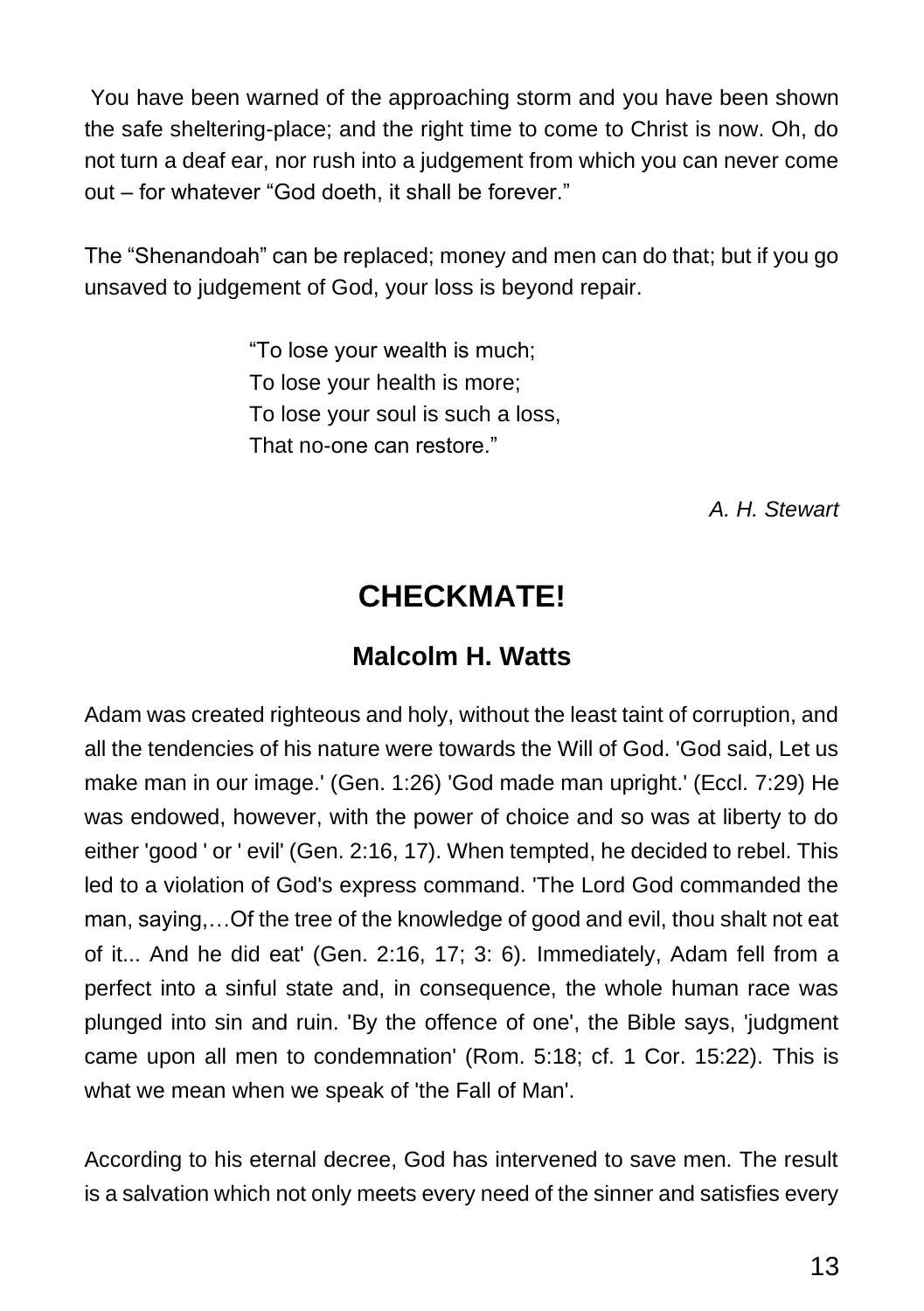You have been warned of the approaching storm and you have been shown the safe sheltering-place; and the right time to come to Christ is now. Oh, do not turn a deaf ear, nor rush into a judgement from which you can never come out – for whatever "God doeth, it shall be forever."

The "Shenandoah" can be replaced; money and men can do that; but if you go unsaved to judgement of God, your loss is beyond repair.

> "To lose your wealth is much; To lose your health is more; To lose your soul is such a loss, That no-one can restore."

> > *A. H. Stewart*

### **CHECKMATE!**

### **Malcolm H. Watts**

Adam was created righteous and holy, without the least taint of corruption, and all the tendencies of his nature were towards the Will of God. 'God said, Let us make man in our image.' (Gen. 1:26) 'God made man upright.' (Eccl. 7:29) He was endowed, however, with the power of choice and so was at liberty to do either 'good ' or ' evil' (Gen. 2:16, 17). When tempted, he decided to rebel. This led to a violation of God's express command. 'The Lord God commanded the man, saying,…Of the tree of the knowledge of good and evil, thou shalt not eat of it... And he did eat' (Gen. 2:16, 17; 3: 6). Immediately, Adam fell from a perfect into a sinful state and, in consequence, the whole human race was plunged into sin and ruin. 'By the offence of one', the Bible says, 'judgment came upon all men to condemnation' (Rom. 5:18; cf. 1 Cor. 15:22). This is what we mean when we speak of 'the Fall of Man'.

According to his eternal decree, God has intervened to save men. The result is a salvation which not only meets every need of the sinner and satisfies every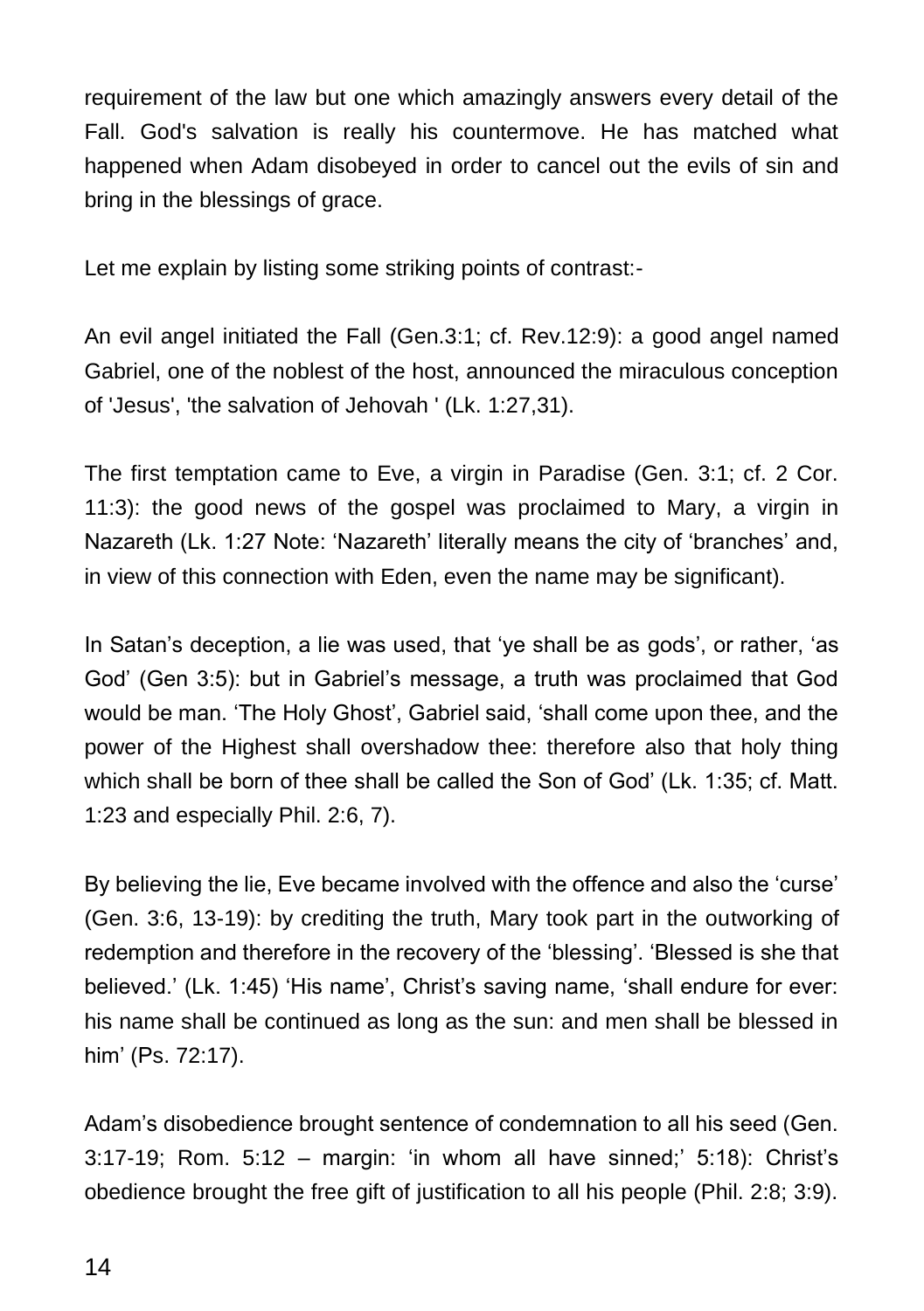requirement of the law but one which amazingly answers every detail of the Fall. God's salvation is really his countermove. He has matched what happened when Adam disobeyed in order to cancel out the evils of sin and bring in the blessings of grace.

Let me explain by listing some striking points of contrast:-

An evil angel initiated the Fall (Gen.3:1; cf. Rev.12:9): a good angel named Gabriel, one of the noblest of the host, announced the miraculous conception of 'Jesus', 'the salvation of Jehovah ' (Lk. 1:27,31).

The first temptation came to Eve, a virgin in Paradise (Gen. 3:1; cf. 2 Cor. 11:3): the good news of the gospel was proclaimed to Mary, a virgin in Nazareth (Lk. 1:27 Note: 'Nazareth' literally means the city of 'branches' and, in view of this connection with Eden, even the name may be significant).

In Satan's deception, a lie was used, that 'ye shall be as gods', or rather, 'as God' (Gen 3:5): but in Gabriel's message, a truth was proclaimed that God would be man. 'The Holy Ghost', Gabriel said, 'shall come upon thee, and the power of the Highest shall overshadow thee: therefore also that holy thing which shall be born of thee shall be called the Son of God' (Lk. 1:35; cf. Matt. 1:23 and especially Phil. 2:6, 7).

By believing the lie, Eve became involved with the offence and also the 'curse' (Gen. 3:6, 13-19): by crediting the truth, Mary took part in the outworking of redemption and therefore in the recovery of the 'blessing'. 'Blessed is she that believed.' (Lk. 1:45) 'His name', Christ's saving name, 'shall endure for ever: his name shall be continued as long as the sun: and men shall be blessed in him' (Ps. 72:17).

Adam's disobedience brought sentence of condemnation to all his seed (Gen. 3:17-19; Rom. 5:12 – margin: 'in whom all have sinned;' 5:18): Christ's obedience brought the free gift of justification to all his people (Phil. 2:8; 3:9).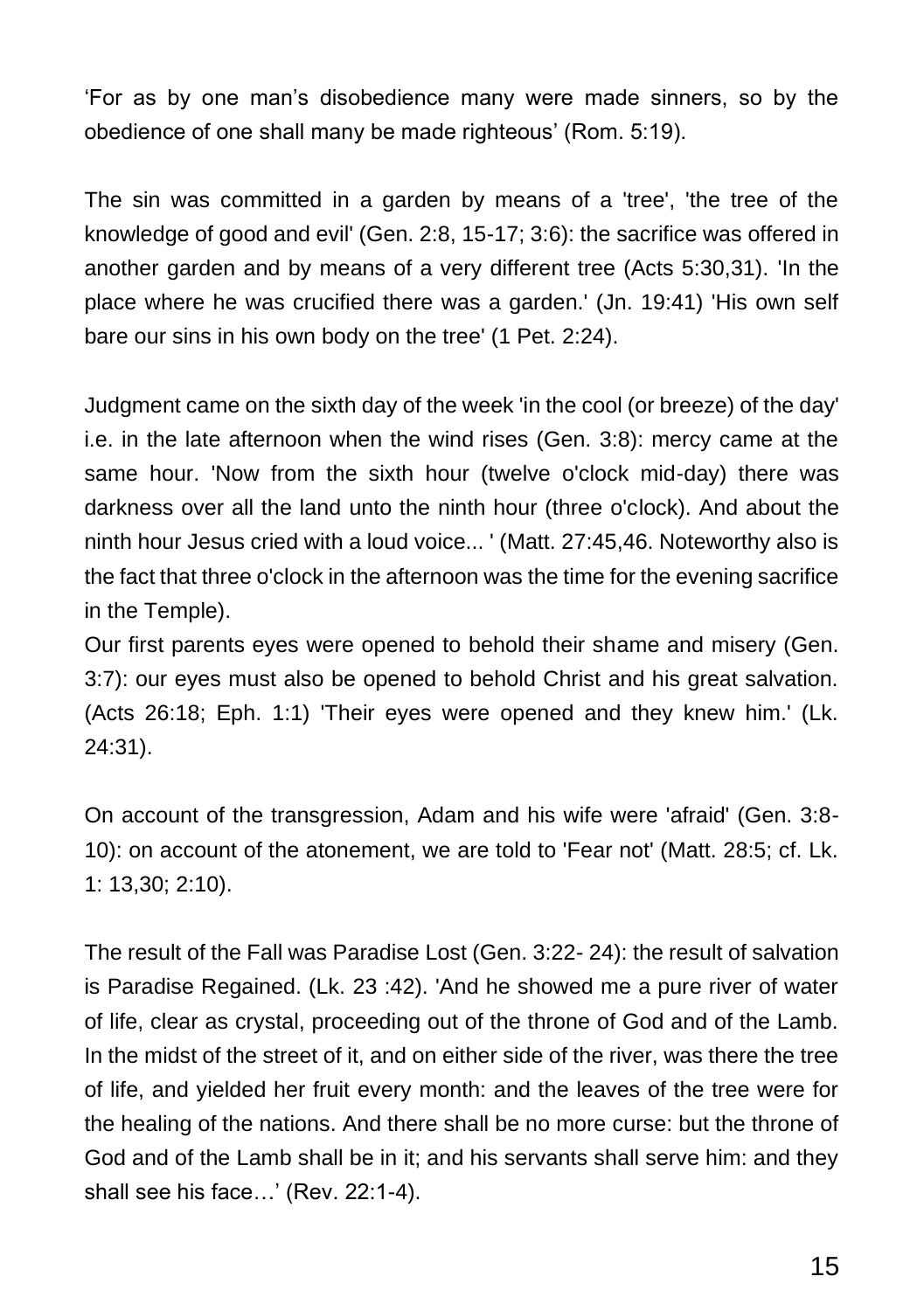'For as by one man's disobedience many were made sinners, so by the obedience of one shall many be made righteous' (Rom. 5:19).

The sin was committed in a garden by means of a 'tree', 'the tree of the knowledge of good and evil' (Gen. 2:8, 15-17; 3:6): the sacrifice was offered in another garden and by means of a very different tree (Acts 5:30,31). 'In the place where he was crucified there was a garden.' (Jn. 19:41) 'His own self bare our sins in his own body on the tree' (1 Pet. 2:24).

Judgment came on the sixth day of the week 'in the cool (or breeze) of the day' i.e. in the late afternoon when the wind rises (Gen. 3:8): mercy came at the same hour. 'Now from the sixth hour (twelve o'clock mid-day) there was darkness over all the land unto the ninth hour (three o'clock). And about the ninth hour Jesus cried with a loud voice... ' (Matt. 27:45,46. Noteworthy also is the fact that three o'clock in the afternoon was the time for the evening sacrifice in the Temple).

Our first parents eyes were opened to behold their shame and misery (Gen. 3:7): our eyes must also be opened to behold Christ and his great salvation. (Acts 26:18; Eph. 1:1) 'Their eyes were opened and they knew him.' (Lk. 24:31).

On account of the transgression, Adam and his wife were 'afraid' (Gen. 3:8- 10): on account of the atonement, we are told to 'Fear not' (Matt. 28:5; cf. Lk. 1: 13,30; 2:10).

The result of the Fall was Paradise Lost (Gen. 3:22- 24): the result of salvation is Paradise Regained. (Lk. 23 :42). 'And he showed me a pure river of water of life, clear as crystal, proceeding out of the throne of God and of the Lamb. In the midst of the street of it, and on either side of the river, was there the tree of life, and yielded her fruit every month: and the leaves of the tree were for the healing of the nations. And there shall be no more curse: but the throne of God and of the Lamb shall be in it; and his servants shall serve him: and they shall see his face…' (Rev. 22:1-4).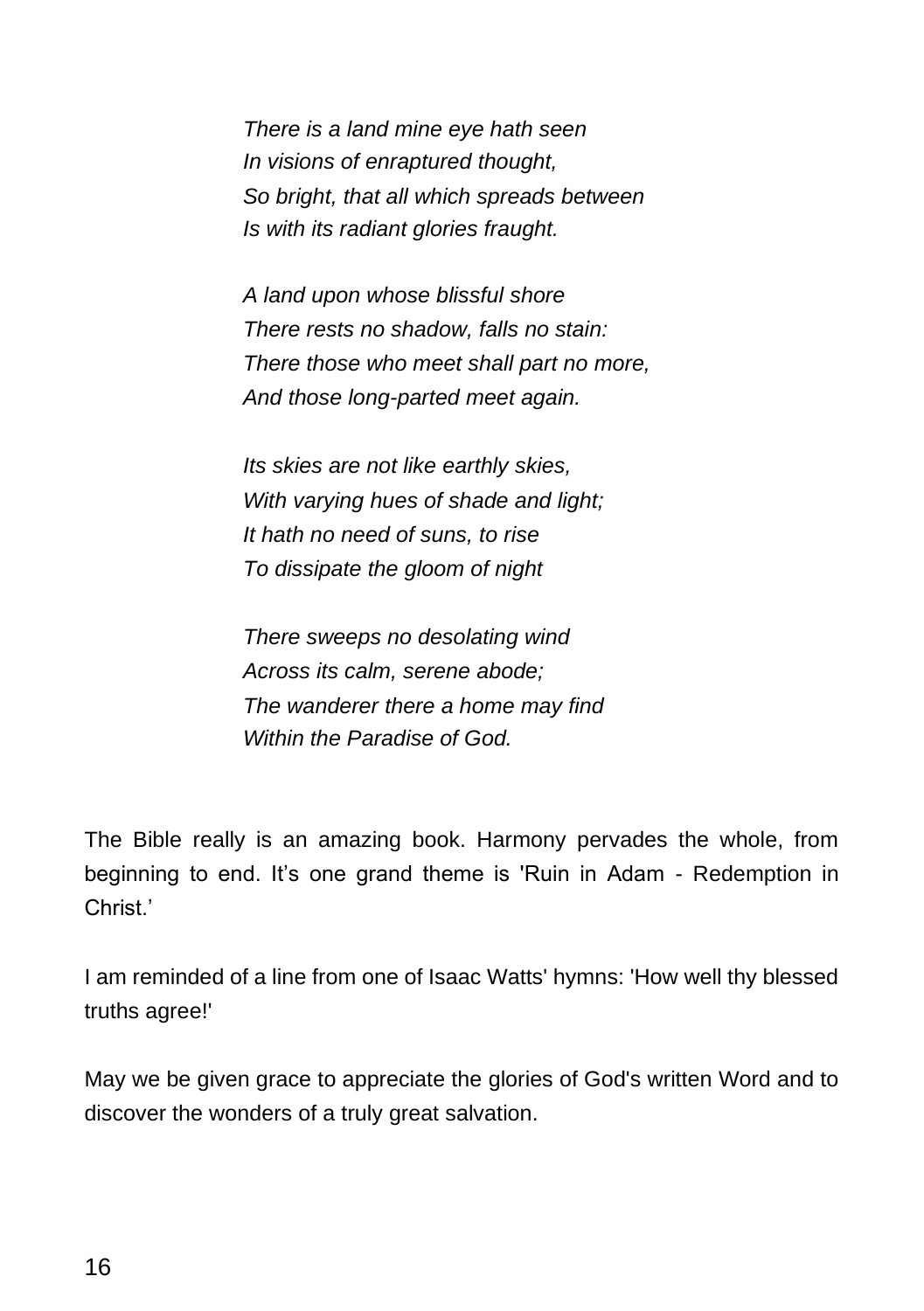*There is a land mine eye hath seen In visions of enraptured thought, So bright, that all which spreads between Is with its radiant glories fraught.*

*A land upon whose blissful shore There rests no shadow, falls no stain: There those who meet shall part no more, And those long-parted meet again.*

*Its skies are not like earthly skies, With varying hues of shade and light; It hath no need of suns, to rise To dissipate the gloom of night*

*There sweeps no desolating wind Across its calm, serene abode; The wanderer there a home may find Within the Paradise of God.*

The Bible really is an amazing book. Harmony pervades the whole, from beginning to end. It's one grand theme is 'Ruin in Adam - Redemption in Christ.'

I am reminded of a line from one of Isaac Watts' hymns: 'How well thy blessed truths agree!'

May we be given grace to appreciate the glories of God's written Word and to discover the wonders of a truly great salvation.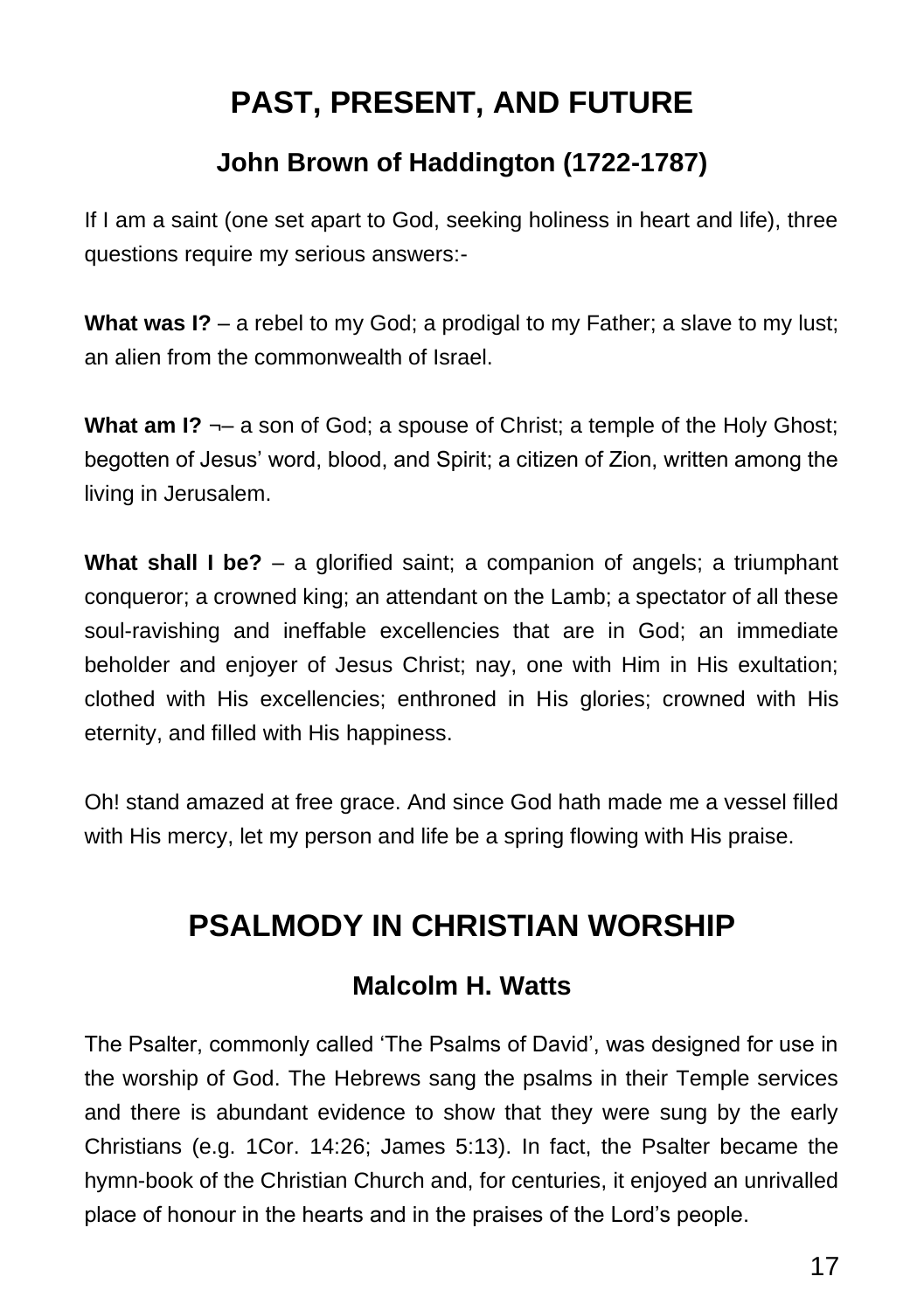# **PAST, PRESENT, AND FUTURE**

### **John Brown of Haddington (1722-1787)**

If I am a saint (one set apart to God, seeking holiness in heart and life), three questions require my serious answers:-

**What was I?** – a rebel to my God; a prodigal to my Father; a slave to my lust; an alien from the commonwealth of Israel.

**What am I?**  $\neg$  a son of God; a spouse of Christ; a temple of the Holy Ghost; begotten of Jesus' word, blood, and Spirit; a citizen of Zion, written among the living in Jerusalem.

**What shall I be?** – a glorified saint; a companion of angels; a triumphant conqueror; a crowned king; an attendant on the Lamb; a spectator of all these soul-ravishing and ineffable excellencies that are in God; an immediate beholder and enjoyer of Jesus Christ; nay, one with Him in His exultation; clothed with His excellencies; enthroned in His glories; crowned with His eternity, and filled with His happiness.

Oh! stand amazed at free grace. And since God hath made me a vessel filled with His mercy, let my person and life be a spring flowing with His praise.

## **PSALMODY IN CHRISTIAN WORSHIP**

#### **Malcolm H. Watts**

The Psalter, commonly called 'The Psalms of David', was designed for use in the worship of God. The Hebrews sang the psalms in their Temple services and there is abundant evidence to show that they were sung by the early Christians (e.g. 1Cor. 14:26; James 5:13). In fact, the Psalter became the hymn-book of the Christian Church and, for centuries, it enjoyed an unrivalled place of honour in the hearts and in the praises of the Lord's people.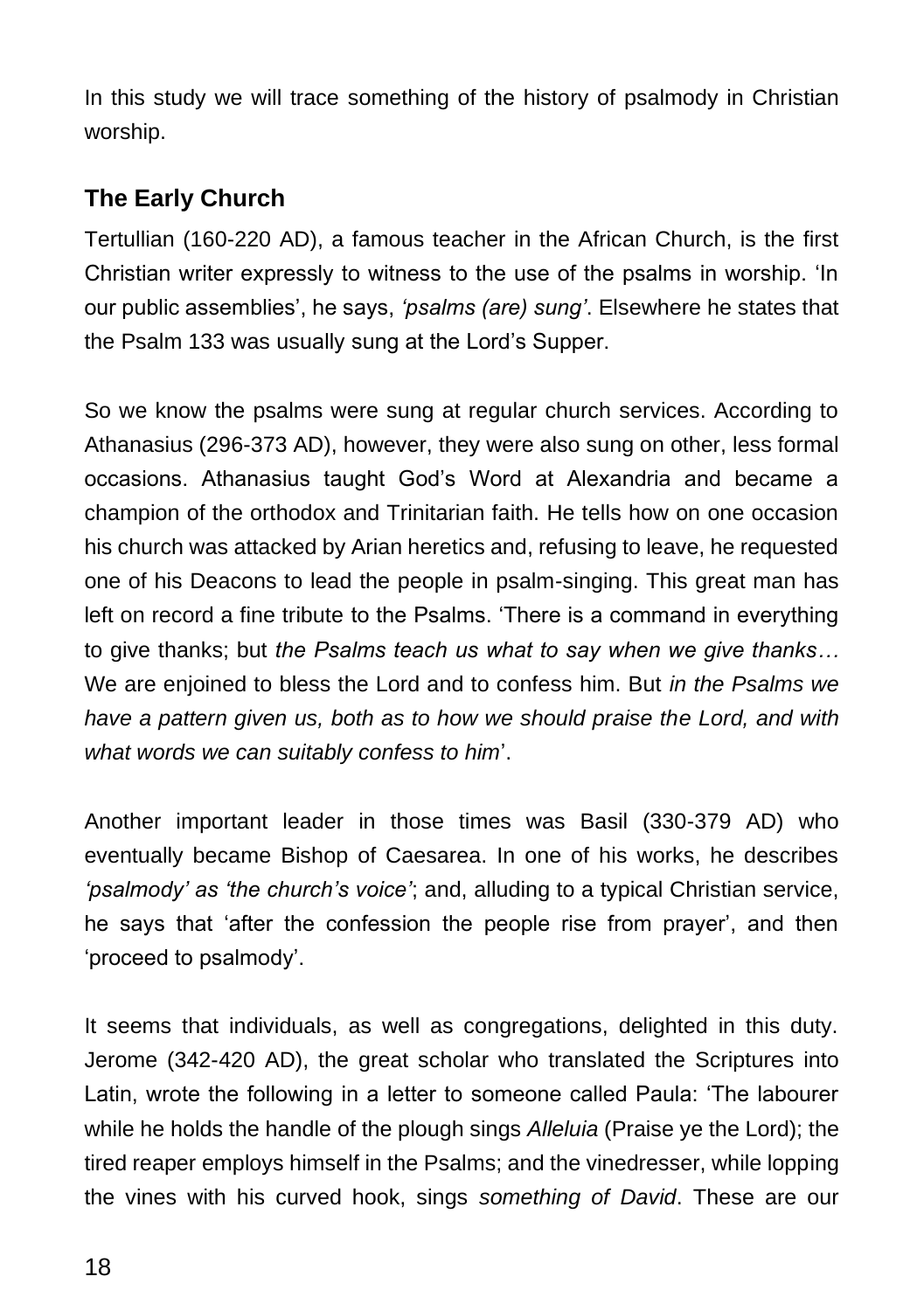In this study we will trace something of the history of psalmody in Christian worship.

### **The Early Church**

Tertullian (160-220 AD), a famous teacher in the African Church, is the first Christian writer expressly to witness to the use of the psalms in worship. 'In our public assemblies', he says, *'psalms (are) sung'*. Elsewhere he states that the Psalm 133 was usually sung at the Lord's Supper.

So we know the psalms were sung at regular church services. According to Athanasius (296-373 AD), however, they were also sung on other, less formal occasions. Athanasius taught God's Word at Alexandria and became a champion of the orthodox and Trinitarian faith. He tells how on one occasion his church was attacked by Arian heretics and, refusing to leave, he requested one of his Deacons to lead the people in psalm-singing. This great man has left on record a fine tribute to the Psalms. 'There is a command in everything to give thanks; but *the Psalms teach us what to say when we give thanks…* We are enjoined to bless the Lord and to confess him. But *in the Psalms we have a pattern given us, both as to how we should praise the Lord, and with what words we can suitably confess to him*'.

Another important leader in those times was Basil (330-379 AD) who eventually became Bishop of Caesarea. In one of his works, he describes *'psalmody' as 'the church's voice'*; and, alluding to a typical Christian service, he says that 'after the confession the people rise from prayer', and then 'proceed to psalmody'.

It seems that individuals, as well as congregations, delighted in this duty. Jerome (342-420 AD), the great scholar who translated the Scriptures into Latin, wrote the following in a letter to someone called Paula: 'The labourer while he holds the handle of the plough sings *Alleluia* (Praise ye the Lord); the tired reaper employs himself in the Psalms; and the vinedresser, while lopping the vines with his curved hook, sings *something of David*. These are our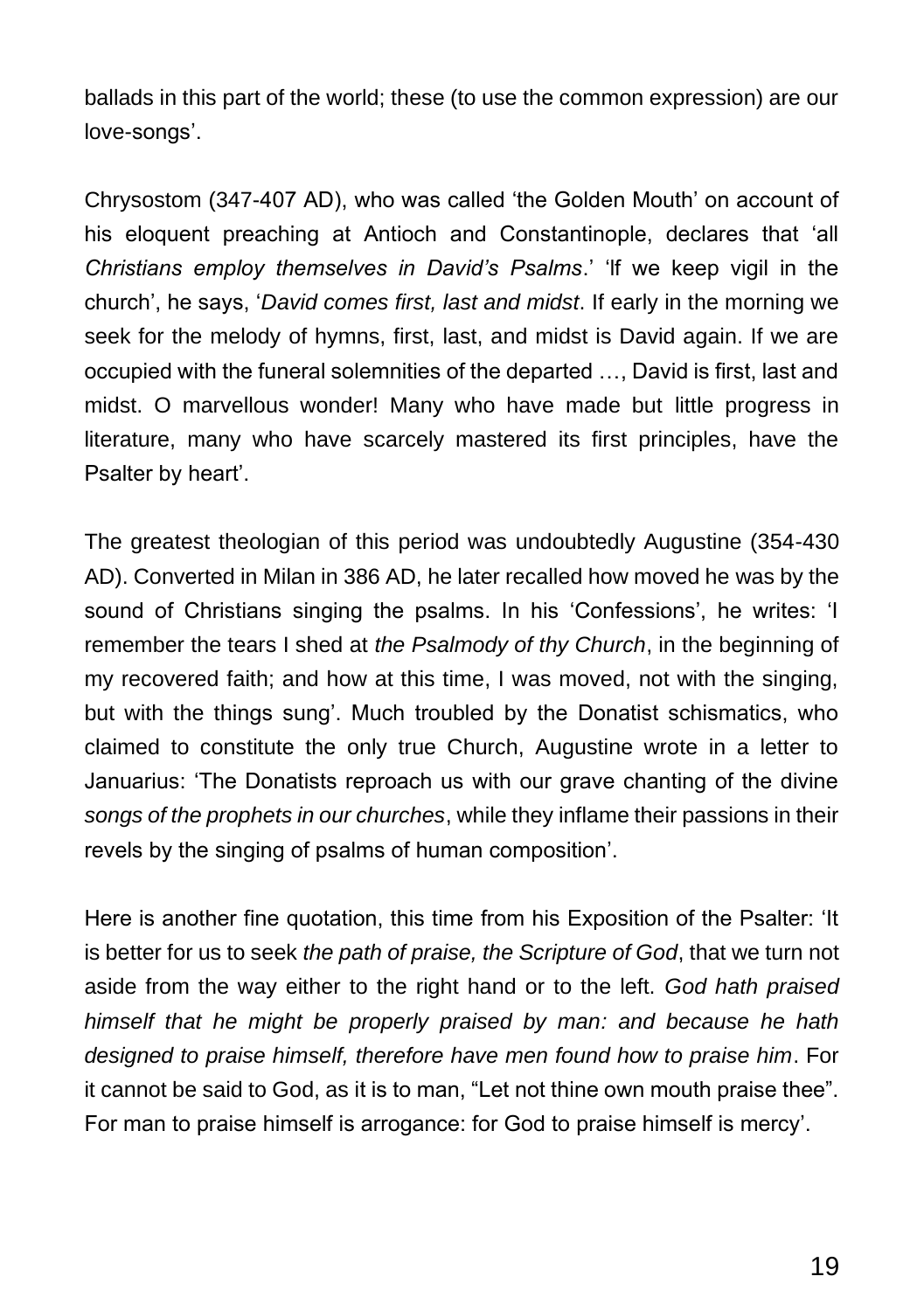ballads in this part of the world; these (to use the common expression) are our love-songs'.

Chrysostom (347-407 AD), who was called 'the Golden Mouth' on account of his eloquent preaching at Antioch and Constantinople, declares that 'all *Christians employ themselves in David's Psalms*.' 'lf we keep vigil in the church', he says, '*David comes first, last and midst*. If early in the morning we seek for the melody of hymns, first, last, and midst is David again. If we are occupied with the funeral solemnities of the departed …, David is first, last and midst. O marvellous wonder! Many who have made but little progress in literature, many who have scarcely mastered its first principles, have the Psalter by heart'.

The greatest theologian of this period was undoubtedly Augustine (354-430 AD). Converted in Milan in 386 AD, he later recalled how moved he was by the sound of Christians singing the psalms. In his 'Confessions', he writes: 'I remember the tears I shed at *the Psalmody of thy Church*, in the beginning of my recovered faith; and how at this time, I was moved, not with the singing, but with the things sung'. Much troubled by the Donatist schismatics, who claimed to constitute the only true Church, Augustine wrote in a letter to Januarius: 'The Donatists reproach us with our grave chanting of the divine *songs of the prophets in our churches*, while they inflame their passions in their revels by the singing of psalms of human composition'.

Here is another fine quotation, this time from his Exposition of the Psalter: 'It is better for us to seek *the path of praise, the Scripture of God*, that we turn not aside from the way either to the right hand or to the left. *God hath praised himself that he might be properly praised by man: and because he hath designed to praise himself, therefore have men found how to praise him*. For it cannot be said to God, as it is to man, "Let not thine own mouth praise thee". For man to praise himself is arrogance: for God to praise himself is mercy'.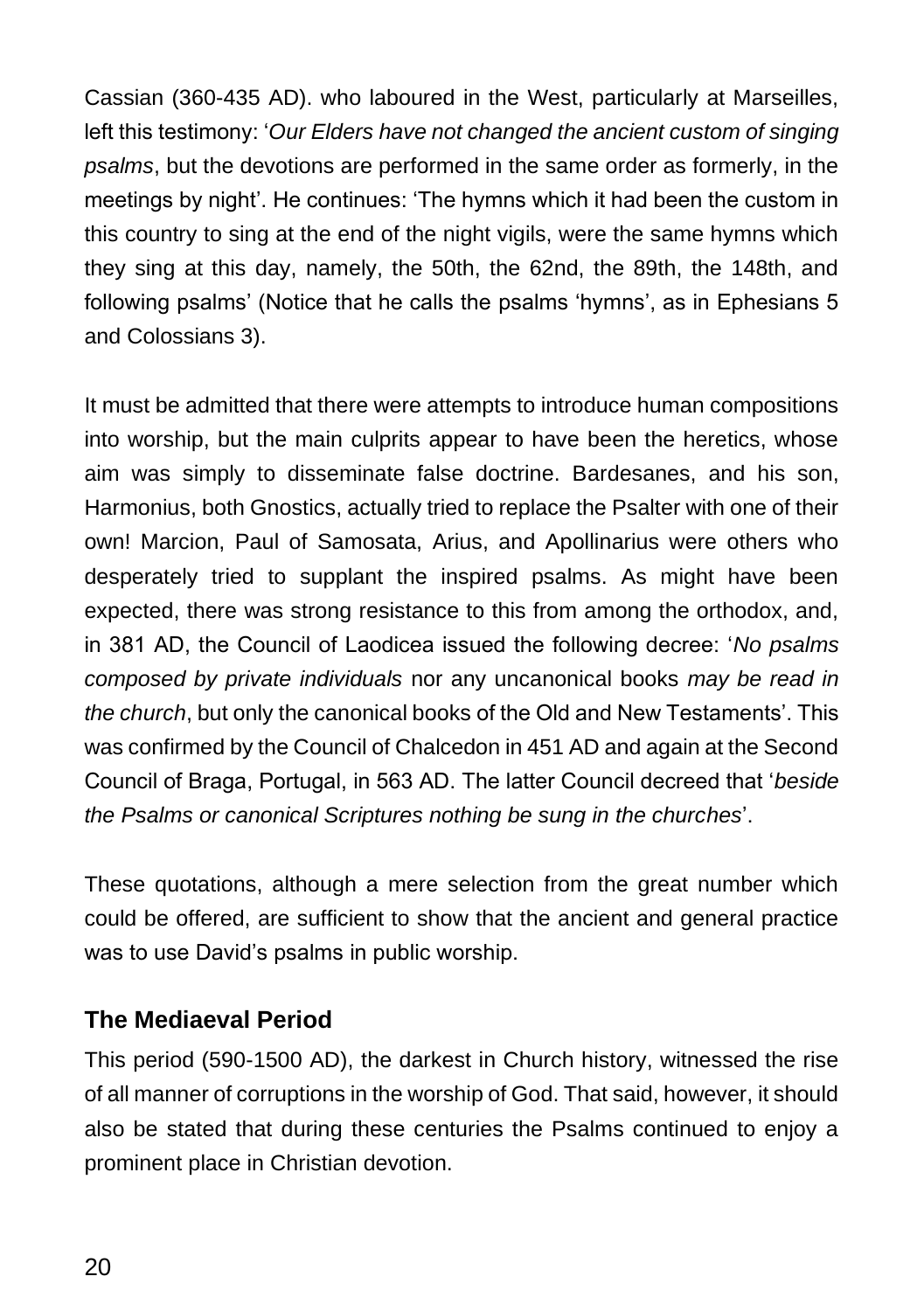Cassian (360-435 AD). who laboured in the West, particularly at Marseilles, left this testimony: '*Our Elders have not changed the ancient custom of singing psalms*, but the devotions are performed in the same order as formerly, in the meetings by night'. He continues: 'The hymns which it had been the custom in this country to sing at the end of the night vigils, were the same hymns which they sing at this day, namely, the 50th, the 62nd, the 89th, the 148th, and following psalms' (Notice that he calls the psalms 'hymns', as in Ephesians 5 and Colossians 3).

It must be admitted that there were attempts to introduce human compositions into worship, but the main culprits appear to have been the heretics, whose aim was simply to disseminate false doctrine. Bardesanes, and his son, Harmonius, both Gnostics, actually tried to replace the Psalter with one of their own! Marcion, Paul of Samosata, Arius, and Apollinarius were others who desperately tried to supplant the inspired psalms. As might have been expected, there was strong resistance to this from among the orthodox, and, in 381 AD, the Council of Laodicea issued the following decree: '*No psalms composed by private individuals* nor any uncanonical books *may be read in the church*, but only the canonical books of the Old and New Testaments'. This was confirmed by the Council of Chalcedon in 451 AD and again at the Second Council of Braga, Portugal, in 563 AD. The latter Council decreed that '*beside the Psalms or canonical Scriptures nothing be sung in the churches*'.

These quotations, although a mere selection from the great number which could be offered, are sufficient to show that the ancient and general practice was to use David's psalms in public worship.

#### **The Mediaeval Period**

This period (590-1500 AD), the darkest in Church history, witnessed the rise of all manner of corruptions in the worship of God. That said, however, it should also be stated that during these centuries the Psalms continued to enjoy a prominent place in Christian devotion.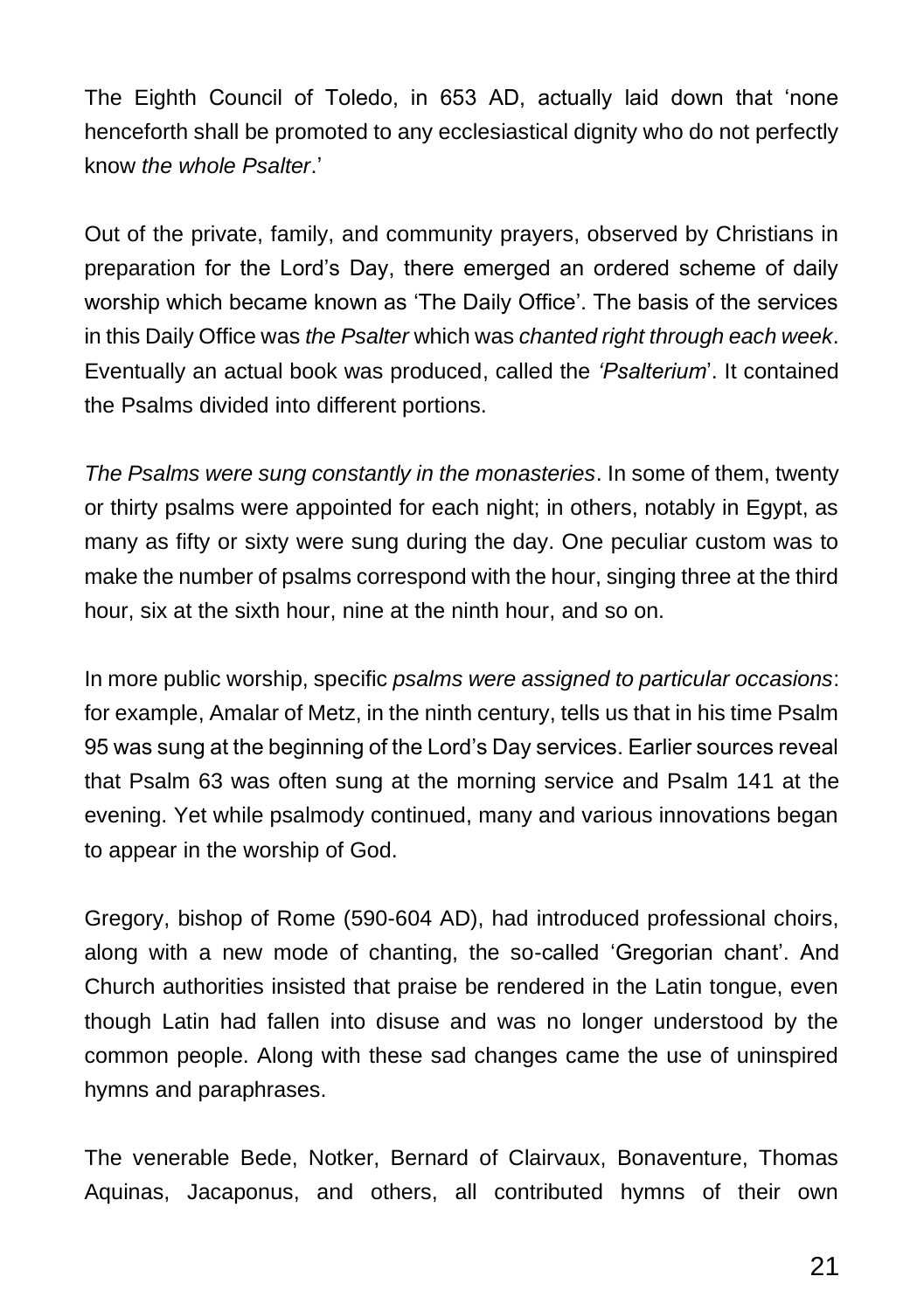The Eighth Council of Toledo, in 653 AD, actually laid down that 'none henceforth shall be promoted to any ecclesiastical dignity who do not perfectly know *the whole Psalter*.'

Out of the private, family, and community prayers, observed by Christians in preparation for the Lord's Day, there emerged an ordered scheme of daily worship which became known as 'The Daily Office'. The basis of the services in this Daily Office was *the Psalter* which was *chanted right through each week*. Eventually an actual book was produced, called the *'Psalterium*'. It contained the Psalms divided into different portions.

*The Psalms were sung constantly in the monasteries*. In some of them, twenty or thirty psalms were appointed for each night; in others, notably in Egypt, as many as fifty or sixty were sung during the day. One peculiar custom was to make the number of psalms correspond with the hour, singing three at the third hour, six at the sixth hour, nine at the ninth hour, and so on.

In more public worship, specific *psalms were assigned to particular occasions*: for example, Amalar of Metz, in the ninth century, tells us that in his time Psalm 95 was sung at the beginning of the Lord's Day services. Earlier sources reveal that Psalm 63 was often sung at the morning service and Psalm 141 at the evening. Yet while psalmody continued, many and various innovations began to appear in the worship of God.

Gregory, bishop of Rome (590-604 AD), had introduced professional choirs, along with a new mode of chanting, the so-called 'Gregorian chant'. And Church authorities insisted that praise be rendered in the Latin tongue, even though Latin had fallen into disuse and was no longer understood by the common people. Along with these sad changes came the use of uninspired hymns and paraphrases.

The venerable Bede, Notker, Bernard of Clairvaux, Bonaventure, Thomas Aquinas, Jacaponus, and others, all contributed hymns of their own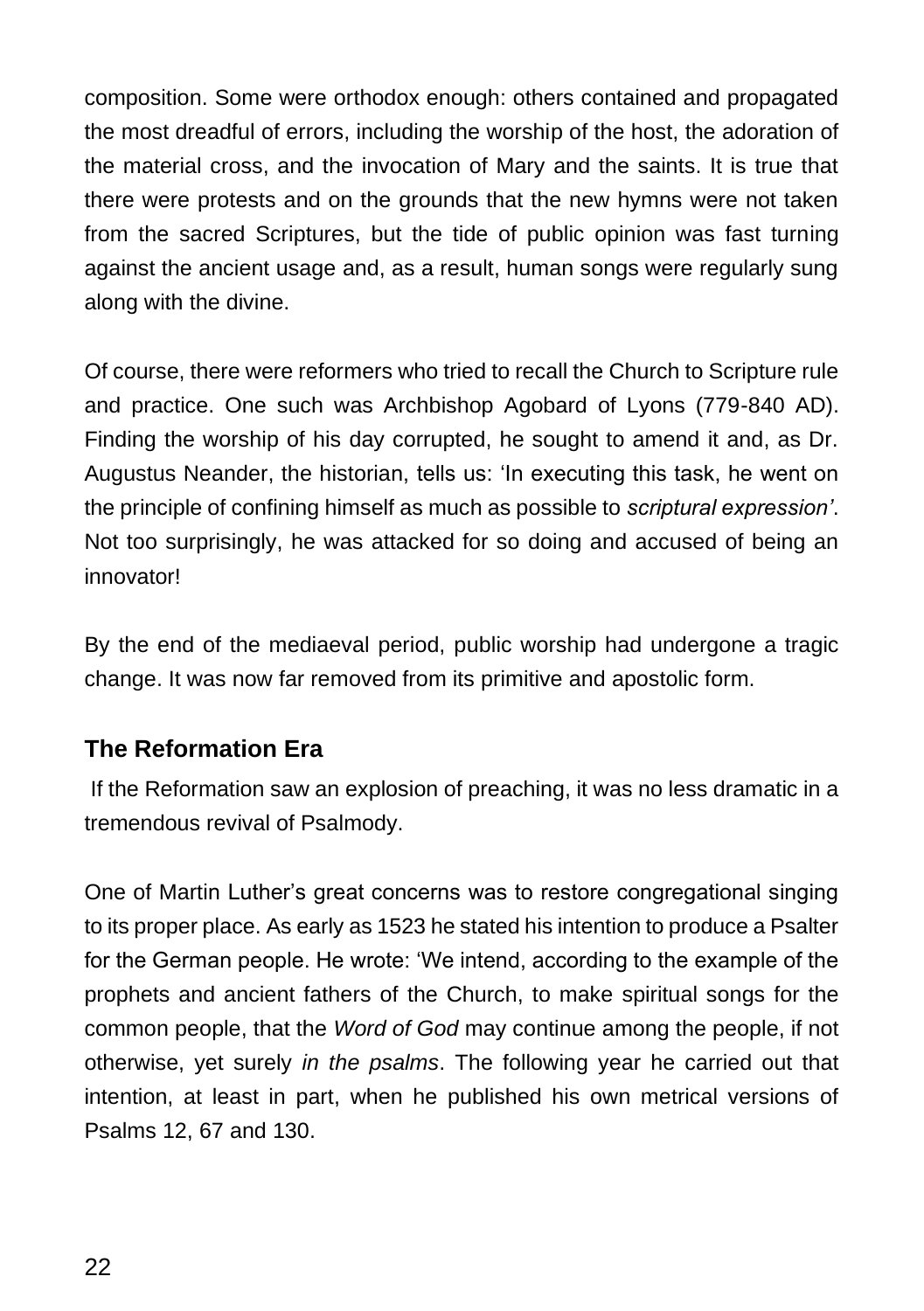composition. Some were orthodox enough: others contained and propagated the most dreadful of errors, including the worship of the host, the adoration of the material cross, and the invocation of Mary and the saints. It is true that there were protests and on the grounds that the new hymns were not taken from the sacred Scriptures, but the tide of public opinion was fast turning against the ancient usage and, as a result, human songs were regularly sung along with the divine.

Of course, there were reformers who tried to recall the Church to Scripture rule and practice. One such was Archbishop Agobard of Lyons (779-840 AD). Finding the worship of his day corrupted, he sought to amend it and, as Dr. Augustus Neander, the historian, tells us: 'In executing this task, he went on the principle of confining himself as much as possible to *scriptural expression'*. Not too surprisingly, he was attacked for so doing and accused of being an innovator!

By the end of the mediaeval period, public worship had undergone a tragic change. It was now far removed from its primitive and apostolic form.

#### **The Reformation Era**

If the Reformation saw an explosion of preaching, it was no less dramatic in a tremendous revival of Psalmody.

One of Martin Luther's great concerns was to restore congregational singing to its proper place. As early as 1523 he stated his intention to produce a Psalter for the German people. He wrote: 'We intend, according to the example of the prophets and ancient fathers of the Church, to make spiritual songs for the common people, that the *Word of God* may continue among the people, if not otherwise, yet surely *in the psalms*. The following year he carried out that intention, at least in part, when he published his own metrical versions of Psalms 12, 67 and 130.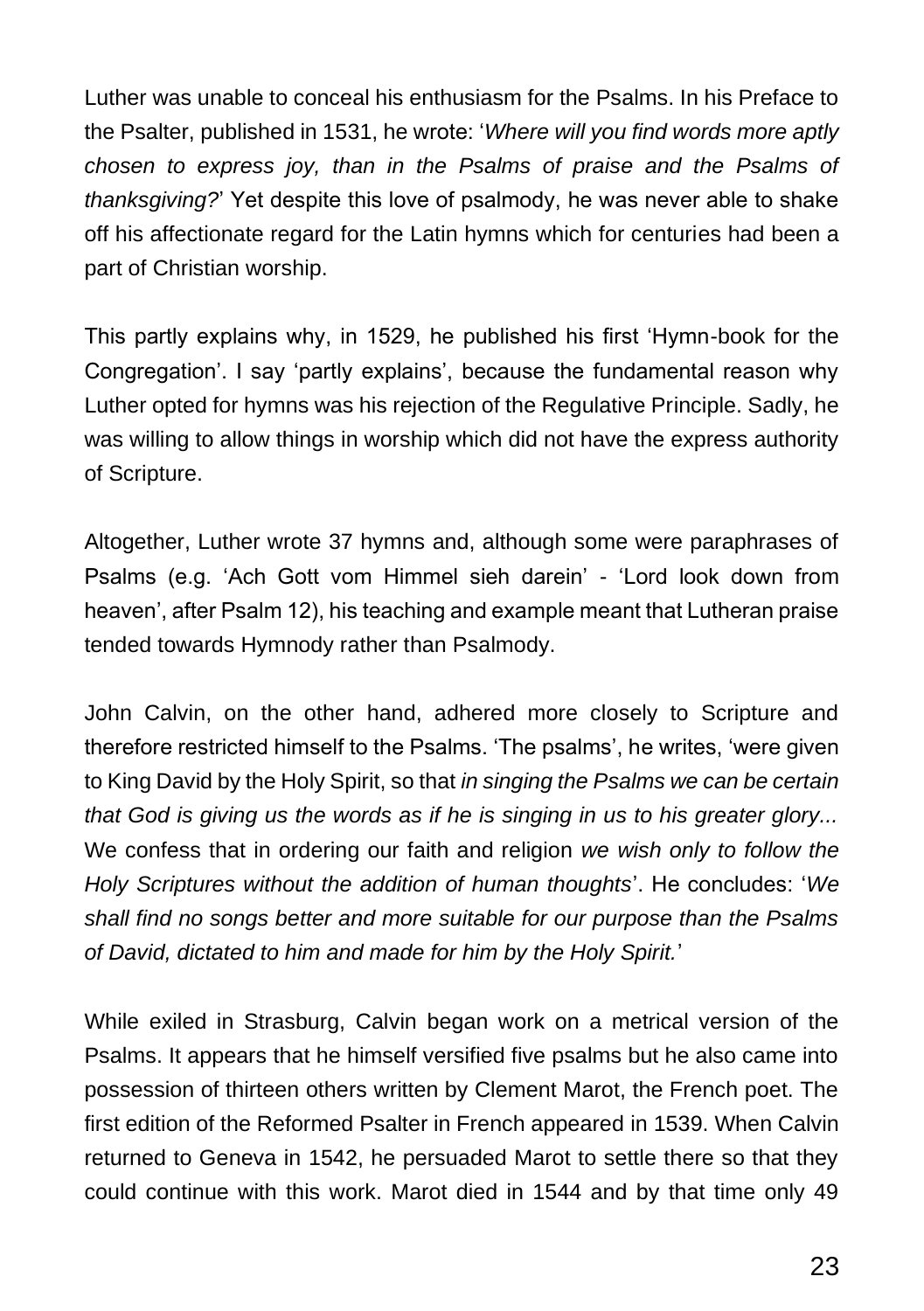Luther was unable to conceal his enthusiasm for the Psalms. In his Preface to the Psalter, published in 1531, he wrote: '*Where will you find words more aptly chosen to express joy, than in the Psalms of praise and the Psalms of thanksgiving?*' Yet despite this love of psalmody, he was never able to shake off his affectionate regard for the Latin hymns which for centuries had been a part of Christian worship.

This partly explains why, in 1529, he published his first 'Hymn-book for the Congregation'. I say 'partly explains', because the fundamental reason why Luther opted for hymns was his rejection of the Regulative Principle. Sadly, he was willing to allow things in worship which did not have the express authority of Scripture.

Altogether, Luther wrote 37 hymns and, although some were paraphrases of Psalms (e.g. 'Ach Gott vom Himmel sieh darein' - 'Lord look down from heaven', after Psalm 12), his teaching and example meant that Lutheran praise tended towards Hymnody rather than Psalmody.

John Calvin, on the other hand, adhered more closely to Scripture and therefore restricted himself to the Psalms. 'The psalms', he writes, 'were given to King David by the Holy Spirit, so that *in singing the Psalms we can be certain that God is giving us the words as if he is singing in us to his greater glory...* We confess that in ordering our faith and religion *we wish only to follow the Holy Scriptures without the addition of human thoughts*'. He concludes: '*We shall find no songs better and more suitable for our purpose than the Psalms of David, dictated to him and made for him by the Holy Spirit.*'

While exiled in Strasburg, Calvin began work on a metrical version of the Psalms. It appears that he himself versified five psalms but he also came into possession of thirteen others written by Clement Marot, the French poet. The first edition of the Reformed Psalter in French appeared in 1539. When Calvin returned to Geneva in 1542, he persuaded Marot to settle there so that they could continue with this work. Marot died in 1544 and by that time only 49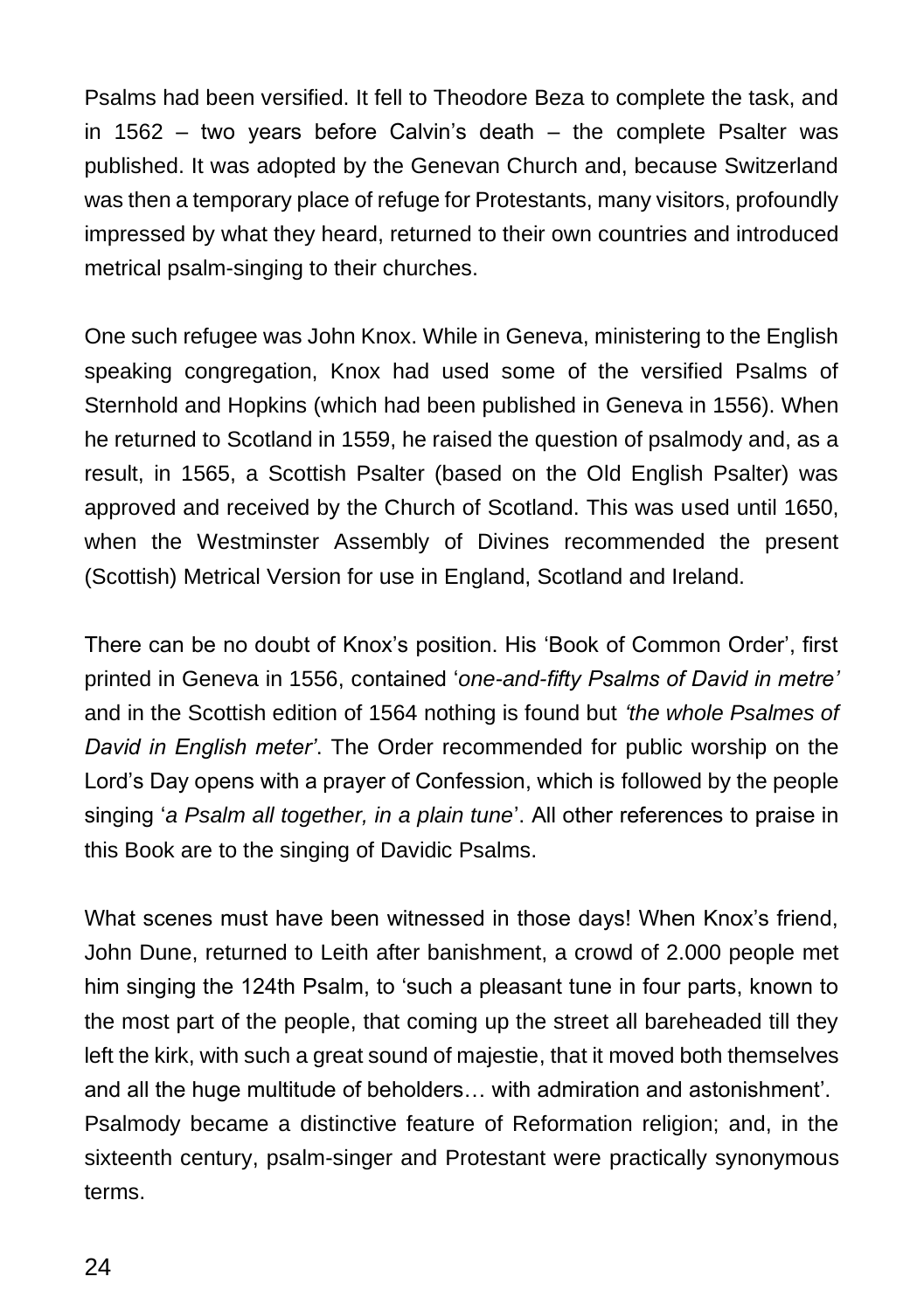Psalms had been versified. It fell to Theodore Beza to complete the task, and in 1562 – two years before Calvin's death – the complete Psalter was published. It was adopted by the Genevan Church and, because Switzerland was then a temporary place of refuge for Protestants, many visitors, profoundly impressed by what they heard, returned to their own countries and introduced metrical psalm-singing to their churches.

One such refugee was John Knox. While in Geneva, ministering to the English speaking congregation, Knox had used some of the versified Psalms of Sternhold and Hopkins (which had been published in Geneva in 1556). When he returned to Scotland in 1559, he raised the question of psalmody and, as a result, in 1565, a Scottish Psalter (based on the Old English Psalter) was approved and received by the Church of Scotland. This was used until 1650, when the Westminster Assembly of Divines recommended the present (Scottish) Metrical Version for use in England, Scotland and Ireland.

There can be no doubt of Knox's position. His 'Book of Common Order', first printed in Geneva in 1556, contained '*one-and-fifty Psalms of David in metre'* and in the Scottish edition of 1564 nothing is found but *'the whole Psalmes of David in English meter'*. The Order recommended for public worship on the Lord's Day opens with a prayer of Confession, which is followed by the people singing '*a Psalm all together, in a plain tune*'. All other references to praise in this Book are to the singing of Davidic Psalms.

What scenes must have been witnessed in those days! When Knox's friend, John Dune, returned to Leith after banishment, a crowd of 2.000 people met him singing the 124th Psalm, to 'such a pleasant tune in four parts, known to the most part of the people, that coming up the street all bareheaded till they left the kirk, with such a great sound of majestie, that it moved both themselves and all the huge multitude of beholders… with admiration and astonishment'. Psalmody became a distinctive feature of Reformation religion; and, in the sixteenth century, psalm-singer and Protestant were practically synonymous terms.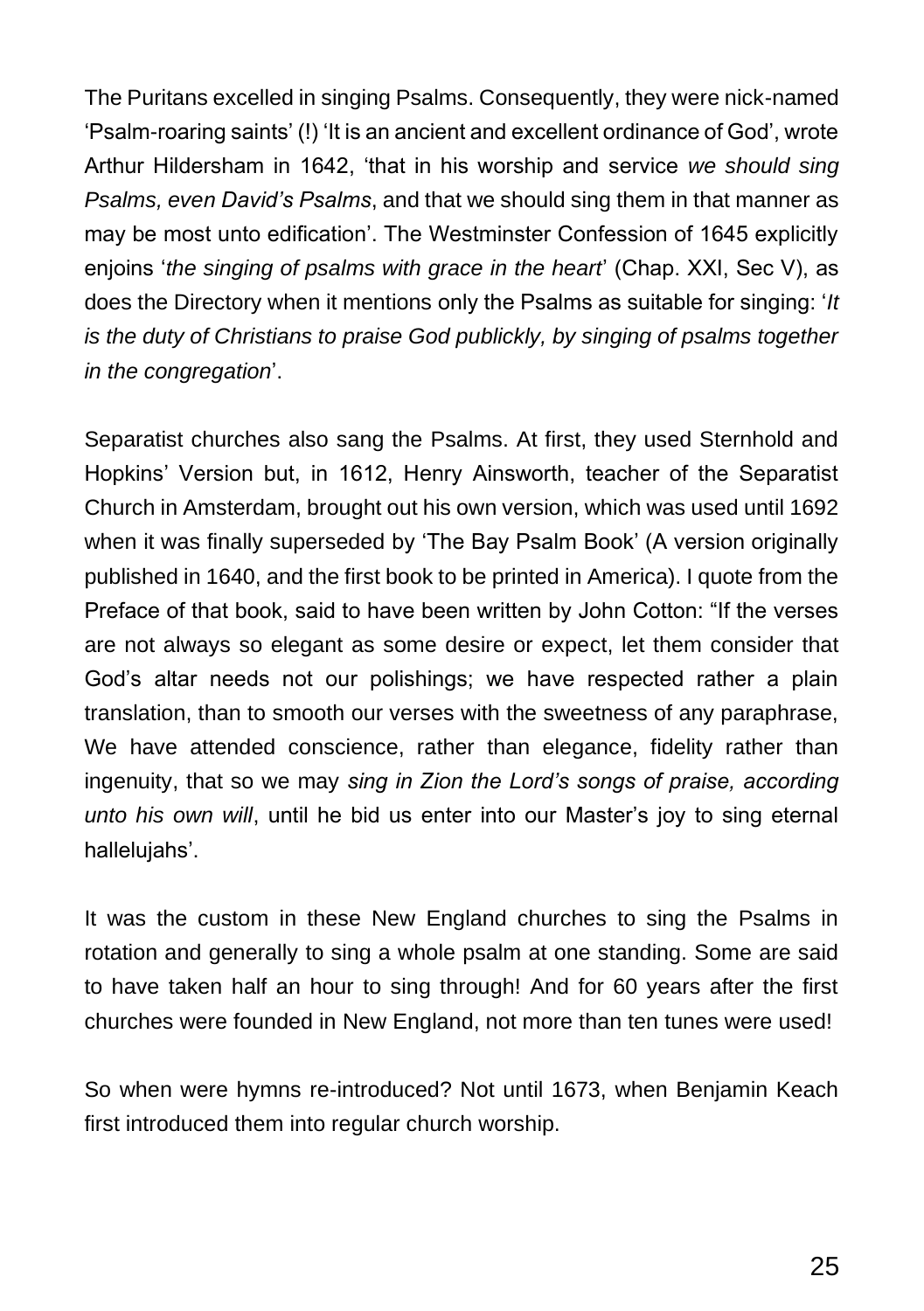The Puritans excelled in singing Psalms. Consequently, they were nick-named 'Psalm-roaring saints' (!) 'It is an ancient and excellent ordinance of God', wrote Arthur Hildersham in 1642, 'that in his worship and service *we should sing Psalms, even David's Psalms*, and that we should sing them in that manner as may be most unto edification'. The Westminster Confession of 1645 explicitly enjoins '*the singing of psalms with grace in the heart*' (Chap. XXI, Sec V), as does the Directory when it mentions only the Psalms as suitable for singing: '*It is the duty of Christians to praise God publickly, by singing of psalms together in the congregation*'.

Separatist churches also sang the Psalms. At first, they used Sternhold and Hopkins' Version but, in 1612, Henry Ainsworth, teacher of the Separatist Church in Amsterdam, brought out his own version, which was used until 1692 when it was finally superseded by 'The Bay Psalm Book' (A version originally published in 1640, and the first book to be printed in America). I quote from the Preface of that book, said to have been written by John Cotton: "If the verses are not always so elegant as some desire or expect, let them consider that God's altar needs not our polishings; we have respected rather a plain translation, than to smooth our verses with the sweetness of any paraphrase, We have attended conscience, rather than elegance, fidelity rather than ingenuity, that so we may *sing in Zion the Lord's songs of praise, according unto his own will*, until he bid us enter into our Master's joy to sing eternal hallelujahs'.

It was the custom in these New England churches to sing the Psalms in rotation and generally to sing a whole psalm at one standing. Some are said to have taken half an hour to sing through! And for 60 years after the first churches were founded in New England, not more than ten tunes were used!

So when were hymns re-introduced? Not until 1673, when Benjamin Keach first introduced them into regular church worship.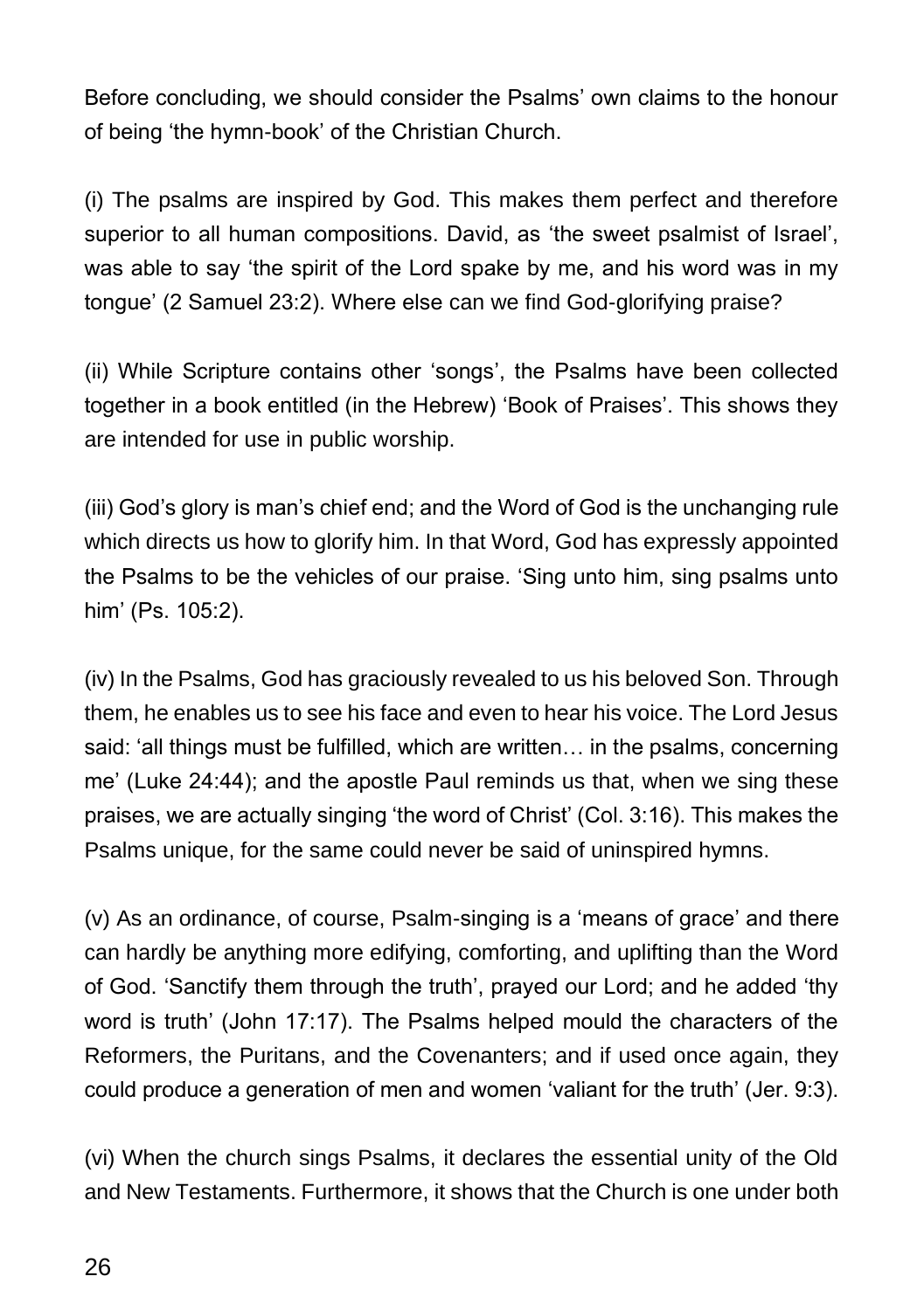Before concluding, we should consider the Psalms' own claims to the honour of being 'the hymn-book' of the Christian Church.

(i) The psalms are inspired by God. This makes them perfect and therefore superior to all human compositions. David, as 'the sweet psalmist of Israel', was able to say 'the spirit of the Lord spake by me, and his word was in my tongue' (2 Samuel 23:2). Where else can we find God-glorifying praise?

(ii) While Scripture contains other 'songs', the Psalms have been collected together in a book entitled (in the Hebrew) 'Book of Praises'. This shows they are intended for use in public worship.

(iii) God's glory is man's chief end; and the Word of God is the unchanging rule which directs us how to glorify him. In that Word, God has expressly appointed the Psalms to be the vehicles of our praise. 'Sing unto him, sing psalms unto him' (Ps. 105:2).

(iv) In the Psalms, God has graciously revealed to us his beloved Son. Through them, he enables us to see his face and even to hear his voice. The Lord Jesus said: 'all things must be fulfilled, which are written… in the psalms, concerning me' (Luke 24:44); and the apostle Paul reminds us that, when we sing these praises, we are actually singing 'the word of Christ' (Col. 3:16). This makes the Psalms unique, for the same could never be said of uninspired hymns.

(v) As an ordinance, of course, Psalm-singing is a 'means of grace' and there can hardly be anything more edifying, comforting, and uplifting than the Word of God. 'Sanctify them through the truth', prayed our Lord; and he added 'thy word is truth' (John 17:17). The Psalms helped mould the characters of the Reformers, the Puritans, and the Covenanters; and if used once again, they could produce a generation of men and women 'valiant for the truth' (Jer. 9:3).

(vi) When the church sings Psalms, it declares the essential unity of the Old and New Testaments. Furthermore, it shows that the Church is one under both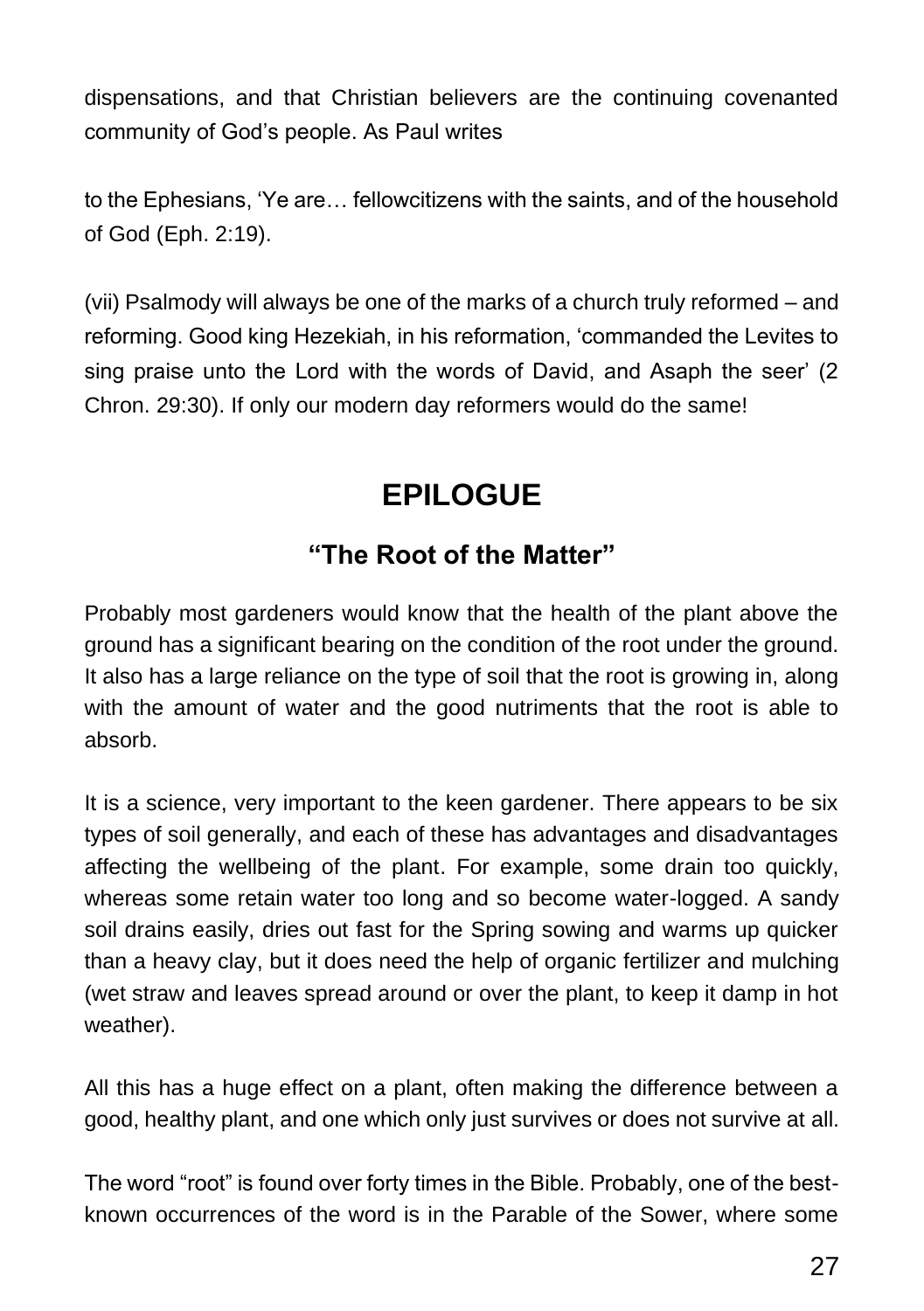dispensations, and that Christian believers are the continuing covenanted community of God's people. As Paul writes

to the Ephesians, 'Ye are… fellowcitizens with the saints, and of the household of God (Eph. 2:19).

(vii) Psalmody will always be one of the marks of a church truly reformed – and reforming. Good king Hezekiah, in his reformation, 'commanded the Levites to sing praise unto the Lord with the words of David, and Asaph the seer' (2 Chron. 29:30). If only our modern day reformers would do the same!

# **EPILOGUE**

### **"The Root of the Matter"**

Probably most gardeners would know that the health of the plant above the ground has a significant bearing on the condition of the root under the ground. It also has a large reliance on the type of soil that the root is growing in, along with the amount of water and the good nutriments that the root is able to absorb.

It is a science, very important to the keen gardener. There appears to be six types of soil generally, and each of these has advantages and disadvantages affecting the wellbeing of the plant. For example, some drain too quickly, whereas some retain water too long and so become water-logged. A sandy soil drains easily, dries out fast for the Spring sowing and warms up quicker than a heavy clay, but it does need the help of organic fertilizer and mulching (wet straw and leaves spread around or over the plant, to keep it damp in hot weather).

All this has a huge effect on a plant, often making the difference between a good, healthy plant, and one which only just survives or does not survive at all.

The word "root" is found over forty times in the Bible. Probably, one of the bestknown occurrences of the word is in the Parable of the Sower, where some